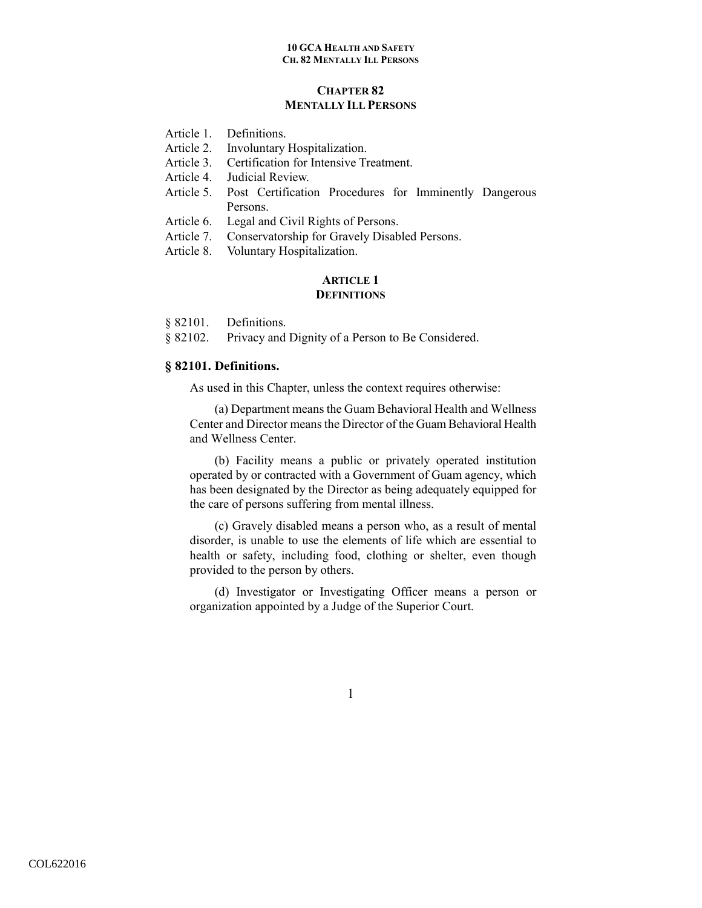# **CHAPTER 82 MENTALLY ILL PERSONS**

- Article 1. Definitions.
- Article 2. Involuntary Hospitalization.
- Article 3. Certification for Intensive Treatment.
- Article 4. Judicial Review.
- Article 5. Post Certification Procedures for Imminently Dangerous Persons.
- Article 6. Legal and Civil Rights of Persons.
- Article 7. Conservatorship for Gravely Disabled Persons.
- Article 8. Voluntary Hospitalization.

## **ARTICLE 1 DEFINITIONS**

- § 82101. Definitions.
- § 82102. Privacy and Dignity of a Person to Be Considered.

## **§ 82101. Definitions.**

As used in this Chapter, unless the context requires otherwise:

(a) Department means the Guam Behavioral Health and Wellness Center and Director means the Director of the Guam Behavioral Health and Wellness Center.

(b) Facility means a public or privately operated institution operated by or contracted with a Government of Guam agency, which has been designated by the Director as being adequately equipped for the care of persons suffering from mental illness.

(c) Gravely disabled means a person who, as a result of mental disorder, is unable to use the elements of life which are essential to health or safety, including food, clothing or shelter, even though provided to the person by others.

(d) Investigator or Investigating Officer means a person or organization appointed by a Judge of the Superior Court.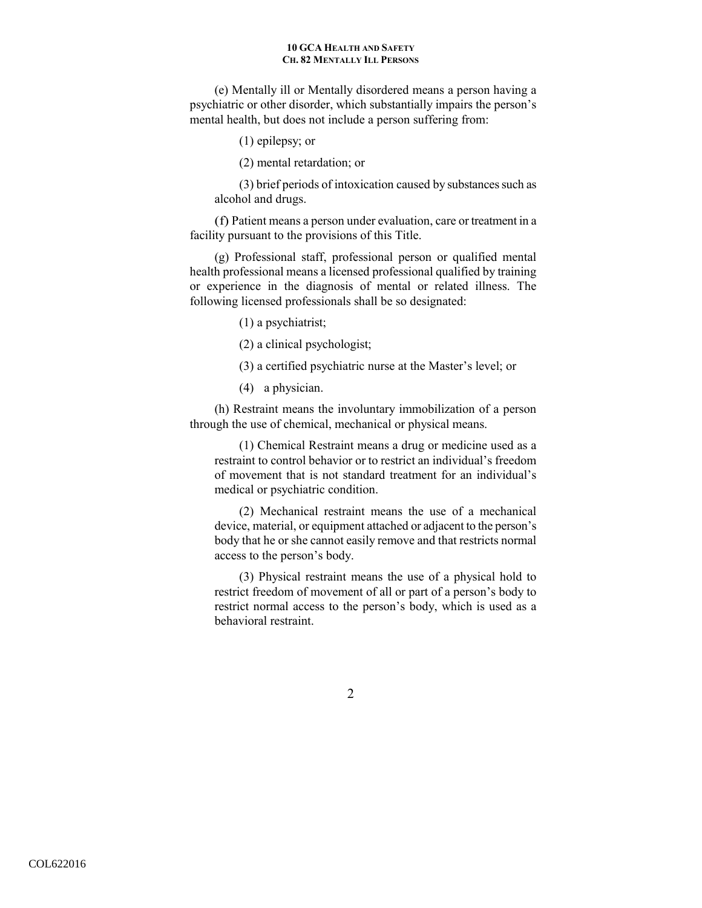(e) Mentally ill or Mentally disordered means a person having a psychiatric or other disorder, which substantially impairs the person's mental health, but does not include a person suffering from:

- (1) epilepsy; or
- (2) mental retardation; or

(3) brief periods of intoxication caused by substances such as alcohol and drugs.

(f) Patient means a person under evaluation, care or treatment in a facility pursuant to the provisions of this Title.

(g) Professional staff, professional person or qualified mental health professional means a licensed professional qualified by training or experience in the diagnosis of mental or related illness. The following licensed professionals shall be so designated:

- (1) a psychiatrist;
- (2) a clinical psychologist;
- (3) a certified psychiatric nurse at the Master's level; or
- (4) a physician.

(h) Restraint means the involuntary immobilization of a person through the use of chemical, mechanical or physical means.

(1) Chemical Restraint means a drug or medicine used as a restraint to control behavior or to restrict an individual's freedom of movement that is not standard treatment for an individual's medical or psychiatric condition.

(2) Mechanical restraint means the use of a mechanical device, material, or equipment attached or adjacent to the person's body that he or she cannot easily remove and that restricts normal access to the person's body.

(3) Physical restraint means the use of a physical hold to restrict freedom of movement of all or part of a person's body to restrict normal access to the person's body, which is used as a behavioral restraint.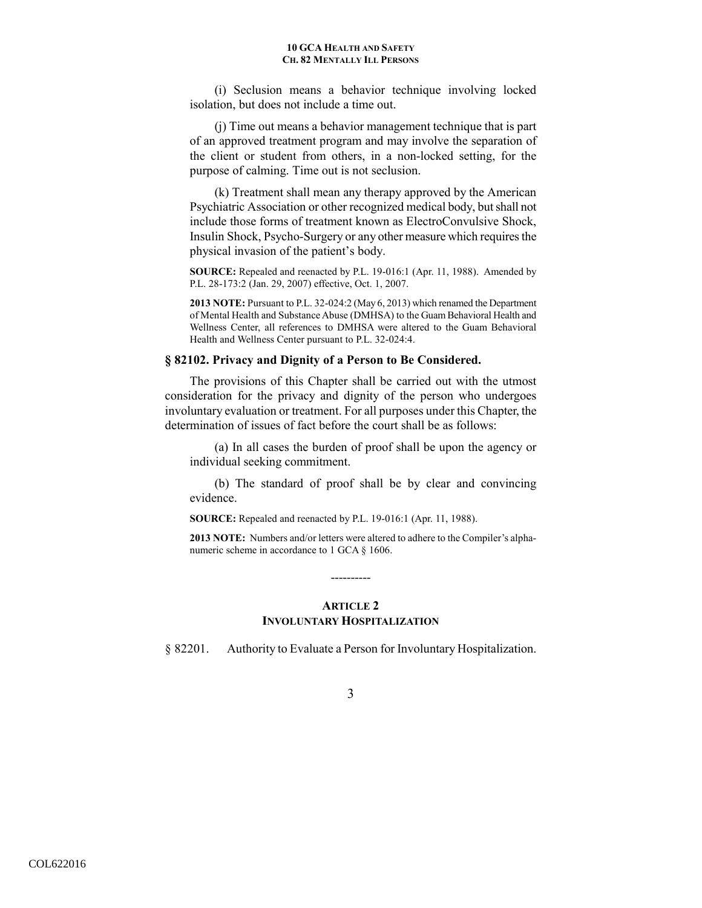(i) Seclusion means a behavior technique involving locked isolation, but does not include a time out.

(j) Time out means a behavior management technique that is part of an approved treatment program and may involve the separation of the client or student from others, in a non-locked setting, for the purpose of calming. Time out is not seclusion.

(k) Treatment shall mean any therapy approved by the American Psychiatric Association or other recognized medical body, but shall not include those forms of treatment known as ElectroConvulsive Shock, Insulin Shock, Psycho-Surgery or any other measure which requires the physical invasion of the patient's body.

**SOURCE:** Repealed and reenacted by P.L. 19-016:1 (Apr. 11, 1988). Amended by P.L. 28-173:2 (Jan. 29, 2007) effective, Oct. 1, 2007.

**2013 NOTE:** Pursuant to P.L. 32-024:2 (May 6, 2013) which renamed the Department of Mental Health and Substance Abuse (DMHSA) to the Guam Behavioral Health and Wellness Center, all references to DMHSA were altered to the Guam Behavioral Health and Wellness Center pursuant to P.L. 32-024:4.

### **§ 82102. Privacy and Dignity of a Person to Be Considered.**

The provisions of this Chapter shall be carried out with the utmost consideration for the privacy and dignity of the person who undergoes involuntary evaluation or treatment. For all purposes under this Chapter, the determination of issues of fact before the court shall be as follows:

(a) In all cases the burden of proof shall be upon the agency or individual seeking commitment.

(b) The standard of proof shall be by clear and convincing evidence.

**SOURCE:** Repealed and reenacted by P.L. 19-016:1 (Apr. 11, 1988).

**2013 NOTE:** Numbers and/or letters were altered to adhere to the Compiler's alphanumeric scheme in accordance to 1 GCA § 1606.

# **ARTICLE 2 INVOLUNTARY HOSPITALIZATION**

----------

§ 82201. Authority to Evaluate a Person for Involuntary Hospitalization.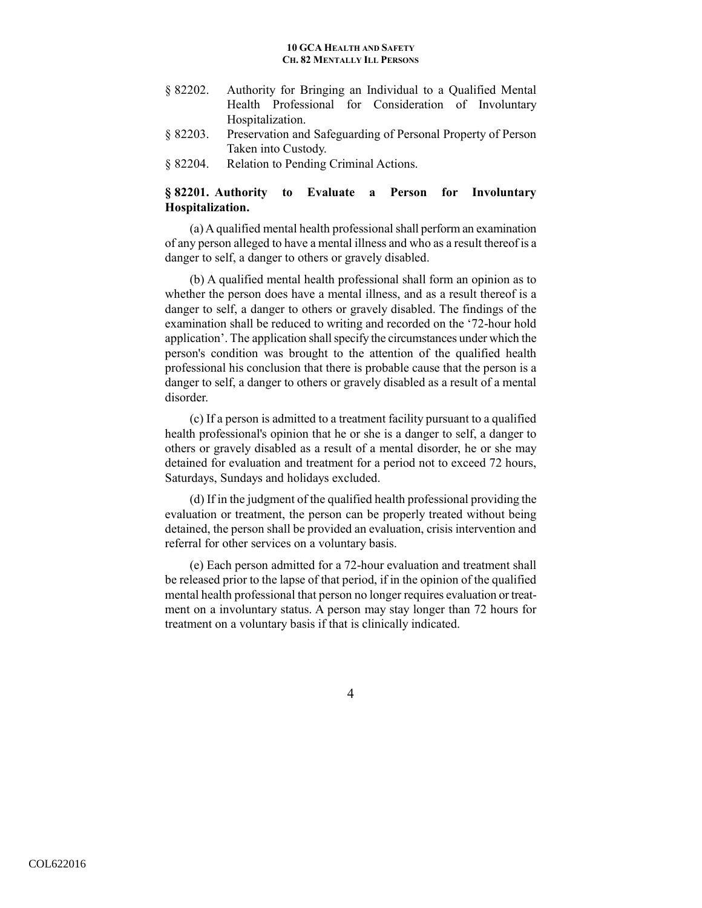- § 82202. Authority for Bringing an Individual to a Qualified Mental Health Professional for Consideration of Involuntary Hospitalization.
- § 82203. Preservation and Safeguarding of Personal Property of Person Taken into Custody.
- § 82204. Relation to Pending Criminal Actions.

# **§ 82201. Authority to Evaluate a Person for Involuntary Hospitalization.**

(a) A qualified mental health professional shall perform an examination of any person alleged to have a mental illness and who as a result thereof is a danger to self, a danger to others or gravely disabled.

(b) A qualified mental health professional shall form an opinion as to whether the person does have a mental illness, and as a result thereof is a danger to self, a danger to others or gravely disabled. The findings of the examination shall be reduced to writing and recorded on the '72-hour hold application'. The application shall specify the circumstances under which the person's condition was brought to the attention of the qualified health professional his conclusion that there is probable cause that the person is a danger to self, a danger to others or gravely disabled as a result of a mental disorder.

(c) If a person is admitted to a treatment facility pursuant to a qualified health professional's opinion that he or she is a danger to self, a danger to others or gravely disabled as a result of a mental disorder, he or she may detained for evaluation and treatment for a period not to exceed 72 hours, Saturdays, Sundays and holidays excluded.

(d) If in the judgment of the qualified health professional providing the evaluation or treatment, the person can be properly treated without being detained, the person shall be provided an evaluation, crisis intervention and referral for other services on a voluntary basis.

(e) Each person admitted for a 72-hour evaluation and treatment shall be released prior to the lapse of that period, if in the opinion of the qualified mental health professional that person no longer requires evaluation or treatment on a involuntary status. A person may stay longer than 72 hours for treatment on a voluntary basis if that is clinically indicated.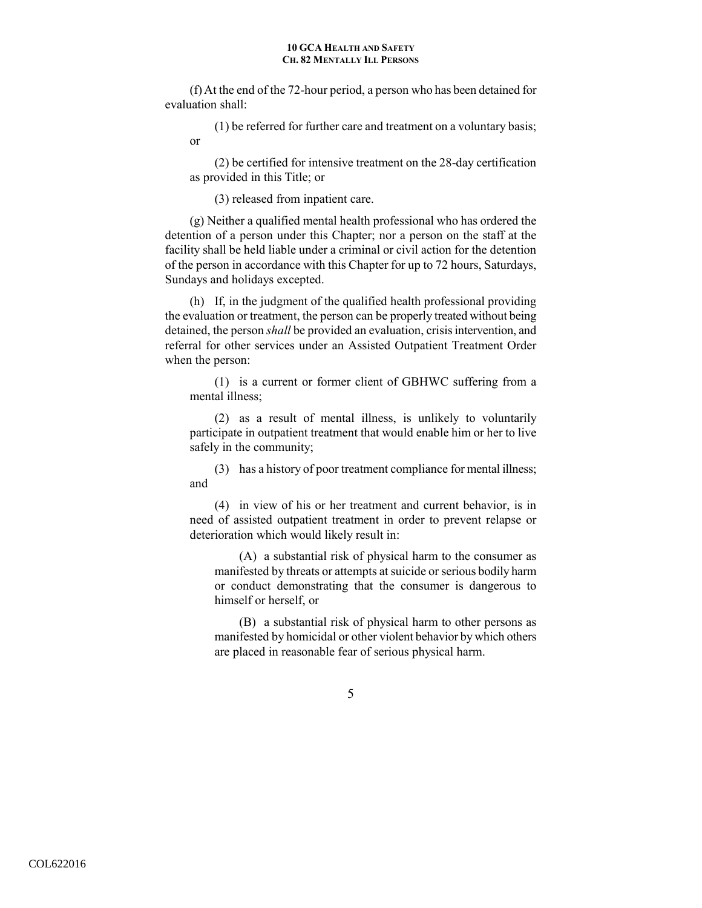(f) At the end of the 72-hour period, a person who has been detained for evaluation shall:

(1) be referred for further care and treatment on a voluntary basis; or

(2) be certified for intensive treatment on the 28-day certification as provided in this Title; or

(3) released from inpatient care.

(g) Neither a qualified mental health professional who has ordered the detention of a person under this Chapter; nor a person on the staff at the facility shall be held liable under a criminal or civil action for the detention of the person in accordance with this Chapter for up to 72 hours, Saturdays, Sundays and holidays excepted.

(h) If, in the judgment of the qualified health professional providing the evaluation or treatment, the person can be properly treated without being detained, the person *shall* be provided an evaluation, crisis intervention, and referral for other services under an Assisted Outpatient Treatment Order when the person:

(1) is a current or former client of GBHWC suffering from a mental illness;

(2) as a result of mental illness, is unlikely to voluntarily participate in outpatient treatment that would enable him or her to live safely in the community;

(3) has a history of poor treatment compliance for mental illness; and

(4) in view of his or her treatment and current behavior, is in need of assisted outpatient treatment in order to prevent relapse or deterioration which would likely result in:

(A) a substantial risk of physical harm to the consumer as manifested by threats or attempts at suicide or serious bodily harm or conduct demonstrating that the consumer is dangerous to himself or herself, or

(B) a substantial risk of physical harm to other persons as manifested by homicidal or other violent behavior by which others are placed in reasonable fear of serious physical harm.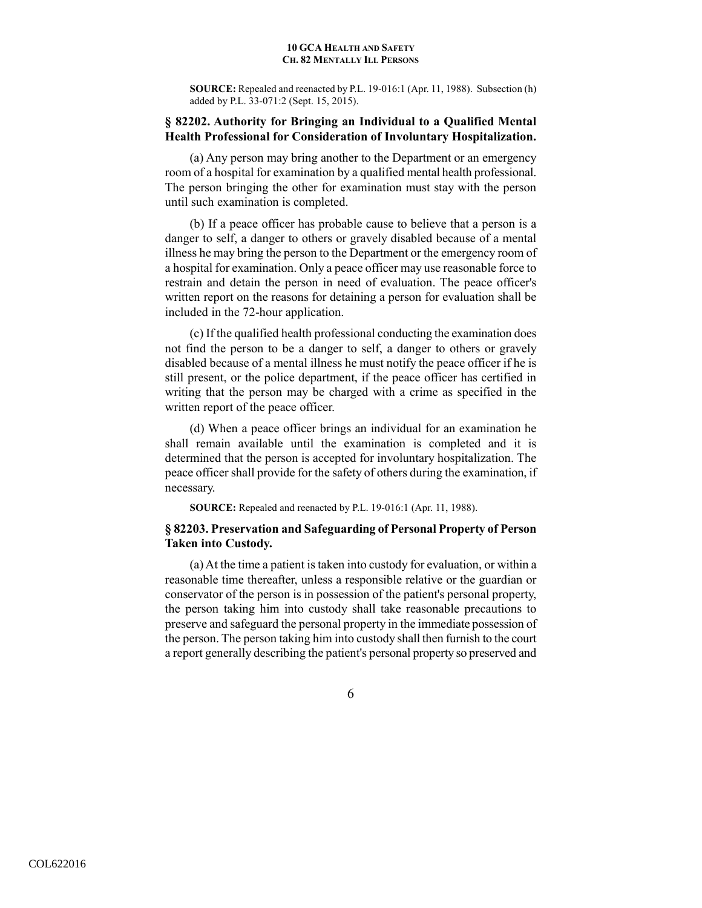**SOURCE:** Repealed and reenacted by P.L. 19-016:1 (Apr. 11, 1988). Subsection (h) added by P.L. 33-071:2 (Sept. 15, 2015).

# **§ 82202. Authority for Bringing an Individual to a Qualified Mental Health Professional for Consideration of Involuntary Hospitalization.**

(a) Any person may bring another to the Department or an emergency room of a hospital for examination by a qualified mental health professional. The person bringing the other for examination must stay with the person until such examination is completed.

(b) If a peace officer has probable cause to believe that a person is a danger to self, a danger to others or gravely disabled because of a mental illness he may bring the person to the Department or the emergency room of a hospital for examination. Only a peace officer may use reasonable force to restrain and detain the person in need of evaluation. The peace officer's written report on the reasons for detaining a person for evaluation shall be included in the 72-hour application.

(c) If the qualified health professional conducting the examination does not find the person to be a danger to self, a danger to others or gravely disabled because of a mental illness he must notify the peace officer if he is still present, or the police department, if the peace officer has certified in writing that the person may be charged with a crime as specified in the written report of the peace officer.

(d) When a peace officer brings an individual for an examination he shall remain available until the examination is completed and it is determined that the person is accepted for involuntary hospitalization. The peace officer shall provide for the safety of others during the examination, if necessary.

**SOURCE:** Repealed and reenacted by P.L. 19-016:1 (Apr. 11, 1988).

# **§ 82203. Preservation and Safeguarding of Personal Property of Person Taken into Custody.**

(a) At the time a patient is taken into custody for evaluation, or within a reasonable time thereafter, unless a responsible relative or the guardian or conservator of the person is in possession of the patient's personal property, the person taking him into custody shall take reasonable precautions to preserve and safeguard the personal property in the immediate possession of the person. The person taking him into custody shall then furnish to the court a report generally describing the patient's personal property so preserved and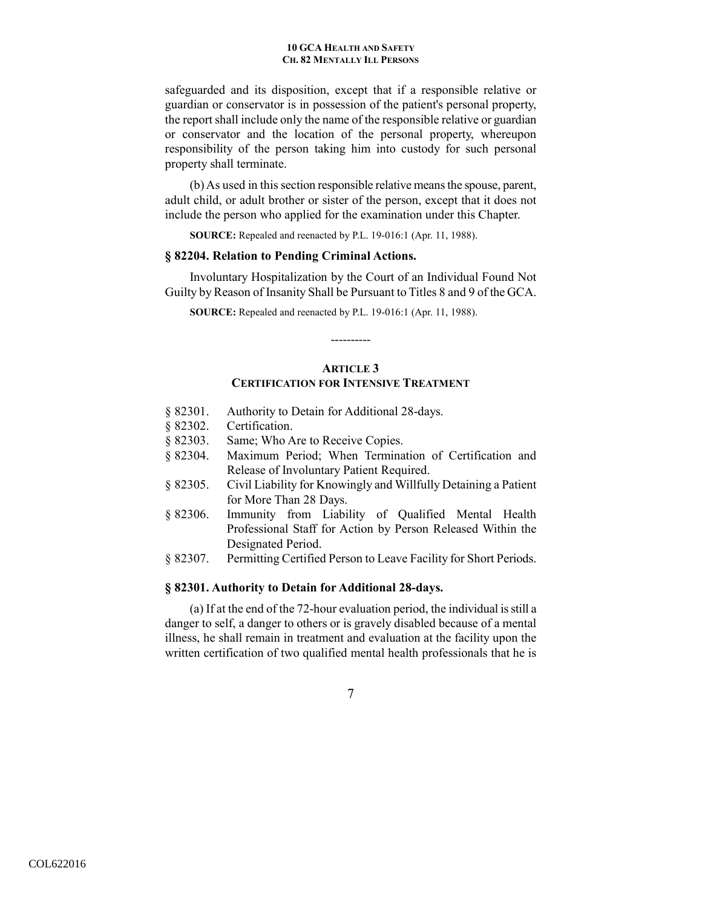safeguarded and its disposition, except that if a responsible relative or guardian or conservator is in possession of the patient's personal property, the report shall include only the name of the responsible relative or guardian or conservator and the location of the personal property, whereupon responsibility of the person taking him into custody for such personal property shall terminate.

(b) As used in this section responsible relative means the spouse, parent, adult child, or adult brother or sister of the person, except that it does not include the person who applied for the examination under this Chapter.

**SOURCE:** Repealed and reenacted by P.L. 19-016:1 (Apr. 11, 1988).

### **§ 82204. Relation to Pending Criminal Actions.**

Involuntary Hospitalization by the Court of an Individual Found Not Guilty by Reason of Insanity Shall be Pursuant to Titles 8 and 9 of the GCA.

**SOURCE:** Repealed and reenacted by P.L. 19-016:1 (Apr. 11, 1988).

# **ARTICLE 3 CERTIFICATION FOR INTENSIVE TREATMENT**

----------

- § 82301. Authority to Detain for Additional 28-days.
- § 82302. Certification.
- § 82303. Same; Who Are to Receive Copies.
- § 82304. Maximum Period; When Termination of Certification and Release of Involuntary Patient Required.
- § 82305. Civil Liability for Knowingly and Willfully Detaining a Patient for More Than 28 Days.
- § 82306. Immunity from Liability of Qualified Mental Health Professional Staff for Action by Person Released Within the Designated Period.
- § 82307. Permitting Certified Person to Leave Facility for Short Periods.

# **§ 82301. Authority to Detain for Additional 28-days.**

(a) If at the end of the 72-hour evaluation period, the individual is still a danger to self, a danger to others or is gravely disabled because of a mental illness, he shall remain in treatment and evaluation at the facility upon the written certification of two qualified mental health professionals that he is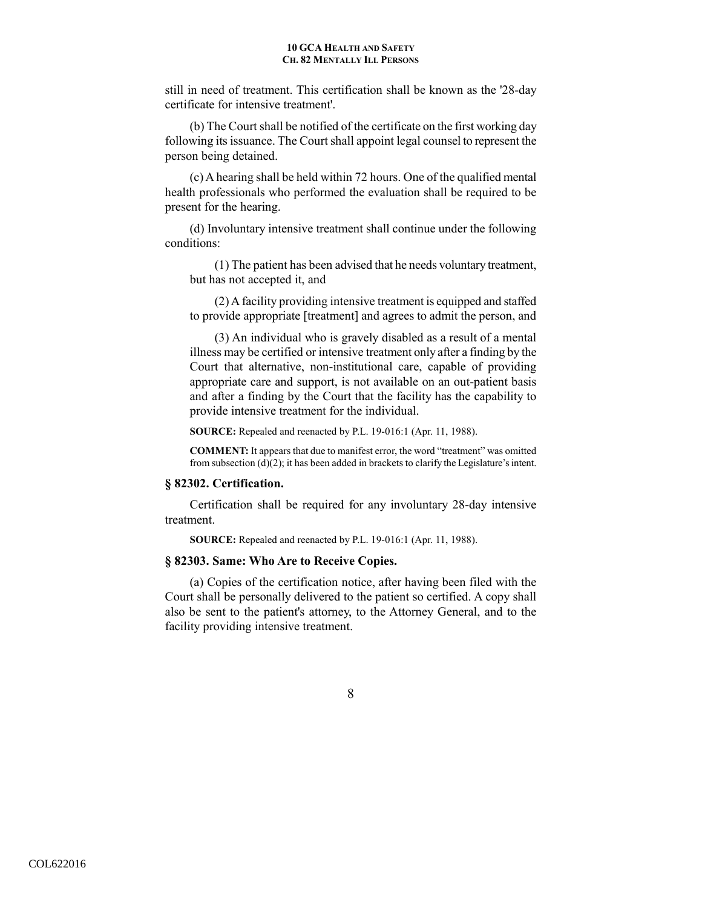still in need of treatment. This certification shall be known as the '28-day certificate for intensive treatment'.

(b) The Court shall be notified of the certificate on the first working day following its issuance. The Court shall appoint legal counsel to represent the person being detained.

(c) A hearing shall be held within 72 hours. One of the qualified mental health professionals who performed the evaluation shall be required to be present for the hearing.

(d) Involuntary intensive treatment shall continue under the following conditions:

(1) The patient has been advised that he needs voluntary treatment, but has not accepted it, and

(2) A facility providing intensive treatment is equipped and staffed to provide appropriate [treatment] and agrees to admit the person, and

(3) An individual who is gravely disabled as a result of a mental illness may be certified or intensive treatment only after a finding by the Court that alternative, non-institutional care, capable of providing appropriate care and support, is not available on an out-patient basis and after a finding by the Court that the facility has the capability to provide intensive treatment for the individual.

**SOURCE:** Repealed and reenacted by P.L. 19-016:1 (Apr. 11, 1988).

**COMMENT:** It appears that due to manifest error, the word "treatment" was omitted from subsection  $(d)(2)$ ; it has been added in brackets to clarify the Legislature's intent.

### **§ 82302. Certification.**

Certification shall be required for any involuntary 28-day intensive treatment.

**SOURCE:** Repealed and reenacted by P.L. 19-016:1 (Apr. 11, 1988).

## **§ 82303. Same: Who Are to Receive Copies.**

(a) Copies of the certification notice, after having been filed with the Court shall be personally delivered to the patient so certified. A copy shall also be sent to the patient's attorney, to the Attorney General, and to the facility providing intensive treatment.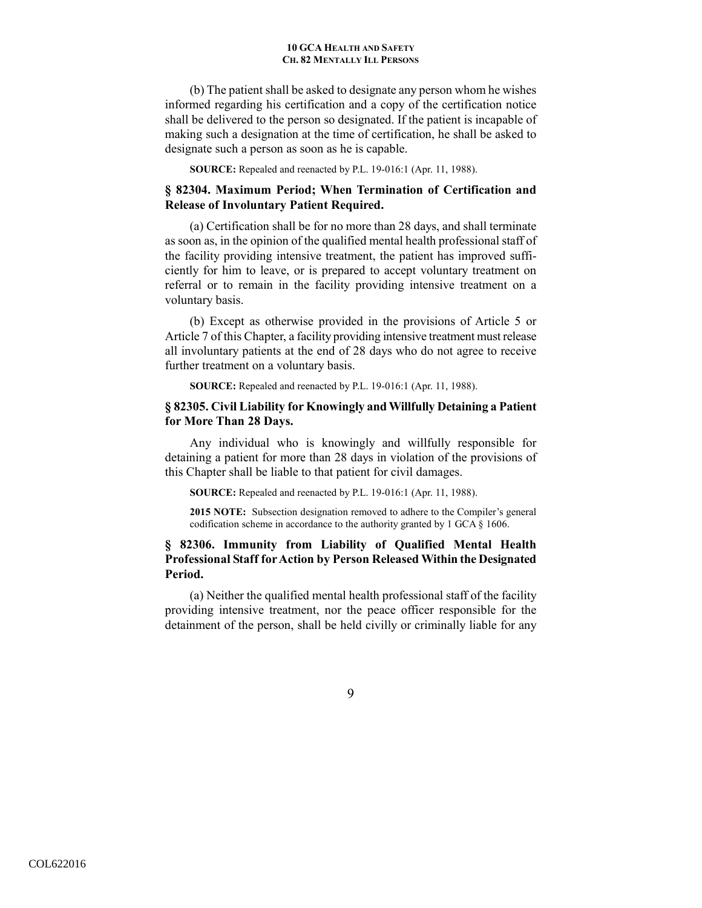(b) The patient shall be asked to designate any person whom he wishes informed regarding his certification and a copy of the certification notice shall be delivered to the person so designated. If the patient is incapable of making such a designation at the time of certification, he shall be asked to designate such a person as soon as he is capable.

**SOURCE:** Repealed and reenacted by P.L. 19-016:1 (Apr. 11, 1988).

## **§ 82304. Maximum Period; When Termination of Certification and Release of Involuntary Patient Required.**

(a) Certification shall be for no more than 28 days, and shall terminate as soon as, in the opinion of the qualified mental health professional staff of the facility providing intensive treatment, the patient has improved sufficiently for him to leave, or is prepared to accept voluntary treatment on referral or to remain in the facility providing intensive treatment on a voluntary basis.

(b) Except as otherwise provided in the provisions of Article 5 or Article 7 of this Chapter, a facility providing intensive treatment must release all involuntary patients at the end of 28 days who do not agree to receive further treatment on a voluntary basis.

**SOURCE:** Repealed and reenacted by P.L. 19-016:1 (Apr. 11, 1988).

## **§ 82305. Civil Liability for Knowingly and Willfully Detaining a Patient for More Than 28 Days.**

Any individual who is knowingly and willfully responsible for detaining a patient for more than 28 days in violation of the provisions of this Chapter shall be liable to that patient for civil damages.

**SOURCE:** Repealed and reenacted by P.L. 19-016:1 (Apr. 11, 1988).

**2015 NOTE:** Subsection designation removed to adhere to the Compiler's general codification scheme in accordance to the authority granted by 1 GCA § 1606.

# **§ 82306. Immunity from Liability of Qualified Mental Health Professional Staff for Action by Person Released Within the Designated Period.**

(a) Neither the qualified mental health professional staff of the facility providing intensive treatment, nor the peace officer responsible for the detainment of the person, shall be held civilly or criminally liable for any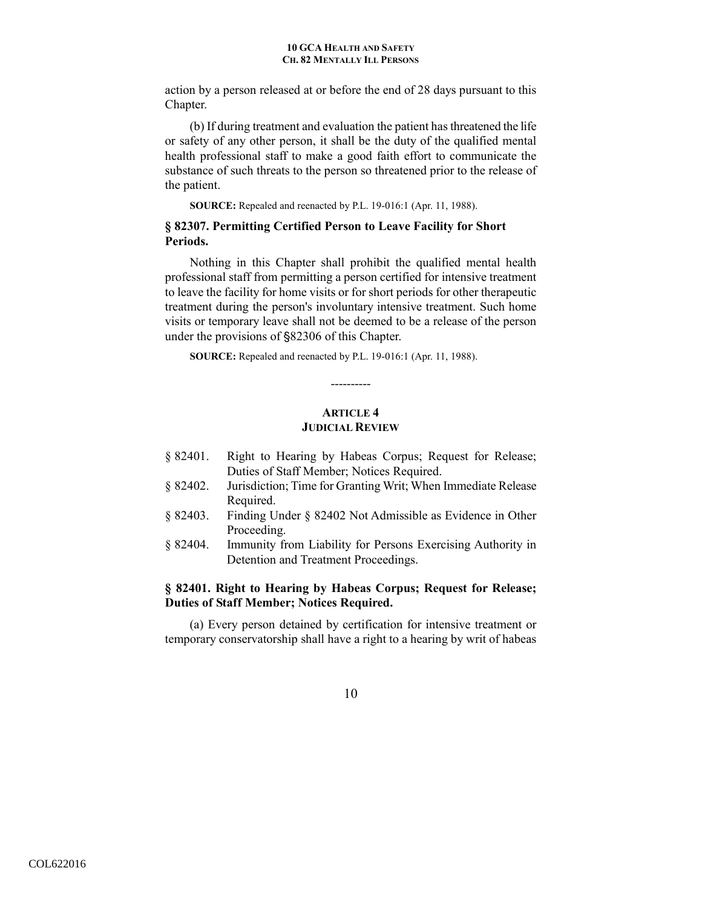action by a person released at or before the end of 28 days pursuant to this Chapter.

(b) If during treatment and evaluation the patient has threatened the life or safety of any other person, it shall be the duty of the qualified mental health professional staff to make a good faith effort to communicate the substance of such threats to the person so threatened prior to the release of the patient.

**SOURCE:** Repealed and reenacted by P.L. 19-016:1 (Apr. 11, 1988).

# **§ 82307. Permitting Certified Person to Leave Facility for Short Periods.**

Nothing in this Chapter shall prohibit the qualified mental health professional staff from permitting a person certified for intensive treatment to leave the facility for home visits or for short periods for other therapeutic treatment during the person's involuntary intensive treatment. Such home visits or temporary leave shall not be deemed to be a release of the person under the provisions of  $\S$ 82306 of this Chapter.

**SOURCE:** Repealed and reenacted by P.L. 19-016:1 (Apr. 11, 1988).

# **ARTICLE 4 JUDICIAL REVIEW**

----------

- § 82401. Right to Hearing by Habeas Corpus; Request for Release; Duties of Staff Member; Notices Required.
- § 82402. Jurisdiction; Time for Granting Writ; When Immediate Release Required.
- § 82403. Finding Under § 82402 Not Admissible as Evidence in Other Proceeding.
- § 82404. Immunity from Liability for Persons Exercising Authority in Detention and Treatment Proceedings.

# **§ 82401. Right to Hearing by Habeas Corpus; Request for Release; Duties of Staff Member; Notices Required.**

(a) Every person detained by certification for intensive treatment or temporary conservatorship shall have a right to a hearing by writ of habeas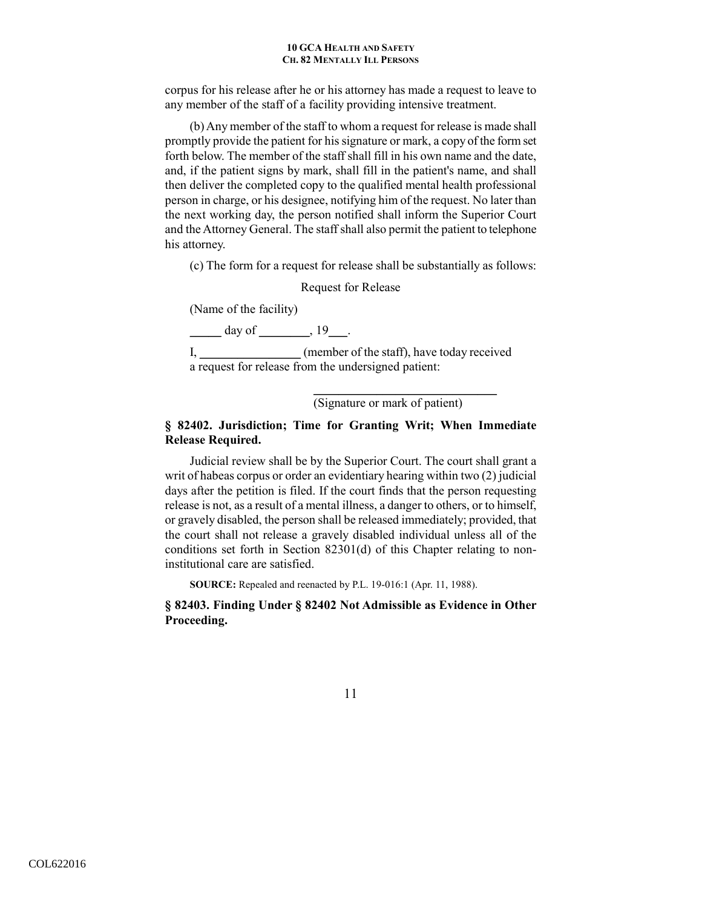corpus for his release after he or his attorney has made a request to leave to any member of the staff of a facility providing intensive treatment.

 (b) Any member of the staff to whom a request for release is made shall promptly provide the patient for his signature or mark, a copy of the form set forth below. The member of the staff shall fill in his own name and the date, and, if the patient signs by mark, shall fill in the patient's name, and shall then deliver the completed copy to the qualified mental health professional person in charge, or his designee, notifying him of the request. No later than the next working day, the person notified shall inform the Superior Court and the Attorney General. The staff shall also permit the patient to telephone his attorney.

(c) The form for a request for release shall be substantially as follows:

Request for Release

(Name of the facility)

 $\frac{day \text{ of }_1 \text{ and } 19}{x}$ .

I, \_\_\_\_\_\_\_\_\_\_\_\_\_\_\_\_\_\_ (member of the staff), have today received a request for release from the undersigned patient:

 $\frac{1}{\sqrt{2}}$  ,  $\frac{1}{\sqrt{2}}$  ,  $\frac{1}{\sqrt{2}}$  ,  $\frac{1}{\sqrt{2}}$  ,  $\frac{1}{\sqrt{2}}$  ,  $\frac{1}{\sqrt{2}}$  ,  $\frac{1}{\sqrt{2}}$  ,  $\frac{1}{\sqrt{2}}$  ,  $\frac{1}{\sqrt{2}}$  ,  $\frac{1}{\sqrt{2}}$  ,  $\frac{1}{\sqrt{2}}$  ,  $\frac{1}{\sqrt{2}}$  ,  $\frac{1}{\sqrt{2}}$  ,  $\frac{1}{\sqrt{2}}$  ,  $\frac{1}{\sqrt{2}}$ 

(Signature or mark of patient)

# **§ 82402. Jurisdiction; Time for Granting Writ; When Immediate Release Required.**

Judicial review shall be by the Superior Court. The court shall grant a writ of habeas corpus or order an evidentiary hearing within two (2) judicial days after the petition is filed. If the court finds that the person requesting release is not, as a result of a mental illness, a danger to others, or to himself, or gravely disabled, the person shall be released immediately; provided, that the court shall not release a gravely disabled individual unless all of the conditions set forth in Section 82301(d) of this Chapter relating to noninstitutional care are satisfied.

**SOURCE:** Repealed and reenacted by P.L. 19-016:1 (Apr. 11, 1988).

**§ 82403. Finding Under § 82402 Not Admissible as Evidence in Other Proceeding.**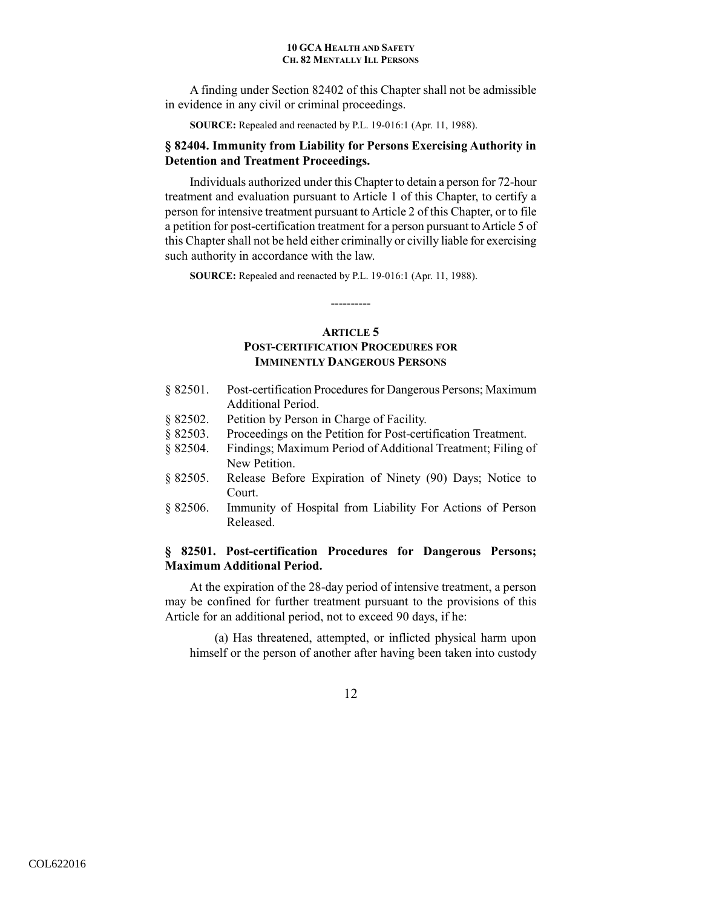A finding under Section 82402 of this Chapter shall not be admissible in evidence in any civil or criminal proceedings.

**SOURCE:** Repealed and reenacted by P.L. 19-016:1 (Apr. 11, 1988).

# **§ 82404. Immunity from Liability for Persons Exercising Authority in Detention and Treatment Proceedings.**

Individuals authorized under this Chapter to detain a person for 72-hour treatment and evaluation pursuant to Article 1 of this Chapter, to certify a person for intensive treatment pursuant to Article 2 of this Chapter, or to file a petition for post-certification treatment for a person pursuant to Article 5 of this Chapter shall not be held either criminally or civilly liable for exercising such authority in accordance with the law.

**SOURCE:** Repealed and reenacted by P.L. 19-016:1 (Apr. 11, 1988).

# **ARTICLE 5 POST-CERTIFICATION PROCEDURES FOR IMMINENTLY DANGEROUS PERSONS**

----------

- § 82501. Post-certification Procedures for Dangerous Persons; Maximum Additional Period.
- § 82502. Petition by Person in Charge of Facility.
- § 82503. Proceedings on the Petition for Post-certification Treatment.
- § 82504. Findings; Maximum Period of Additional Treatment; Filing of New Petition.
- § 82505. Release Before Expiration of Ninety (90) Days; Notice to Court.
- § 82506. Immunity of Hospital from Liability For Actions of Person Released.

# **§ 82501. Post-certification Procedures for Dangerous Persons; Maximum Additional Period.**

At the expiration of the 28-day period of intensive treatment, a person may be confined for further treatment pursuant to the provisions of this Article for an additional period, not to exceed 90 days, if he:

(a) Has threatened, attempted, or inflicted physical harm upon himself or the person of another after having been taken into custody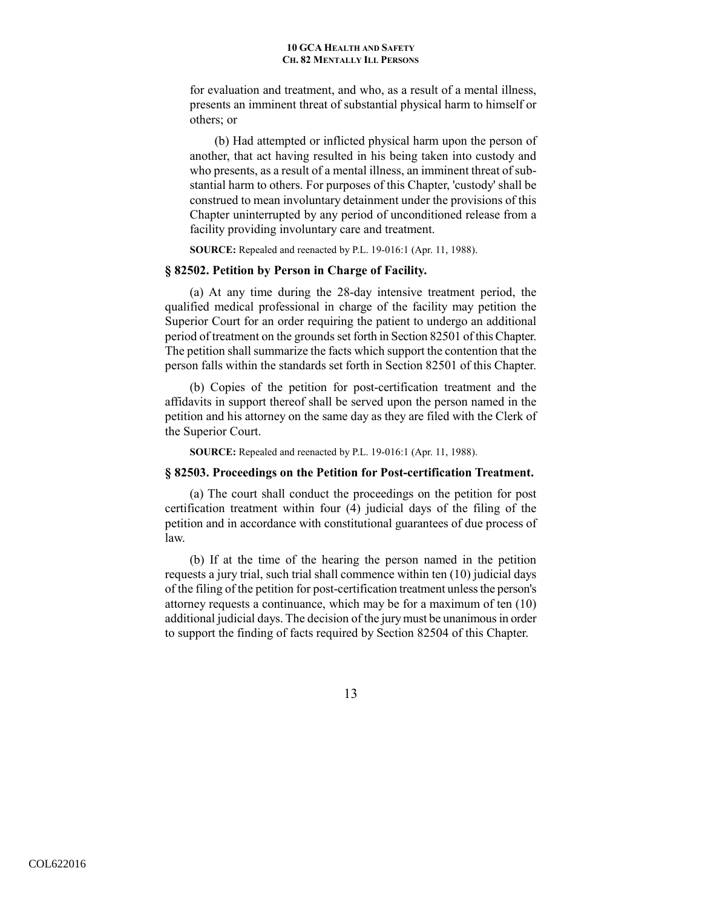for evaluation and treatment, and who, as a result of a mental illness, presents an imminent threat of substantial physical harm to himself or others; or

(b) Had attempted or inflicted physical harm upon the person of another, that act having resulted in his being taken into custody and who presents, as a result of a mental illness, an imminent threat of substantial harm to others. For purposes of this Chapter, 'custody' shall be construed to mean involuntary detainment under the provisions of this Chapter uninterrupted by any period of unconditioned release from a facility providing involuntary care and treatment.

**SOURCE:** Repealed and reenacted by P.L. 19-016:1 (Apr. 11, 1988).

## **§ 82502. Petition by Person in Charge of Facility.**

(a) At any time during the 28-day intensive treatment period, the qualified medical professional in charge of the facility may petition the Superior Court for an order requiring the patient to undergo an additional period of treatment on the grounds set forth in Section 82501 of this Chapter. The petition shall summarize the facts which support the contention that the person falls within the standards set forth in Section 82501 of this Chapter.

 (b) Copies of the petition for post-certification treatment and the affidavits in support thereof shall be served upon the person named in the petition and his attorney on the same day as they are filed with the Clerk of the Superior Court.

**SOURCE:** Repealed and reenacted by P.L. 19-016:1 (Apr. 11, 1988).

## **§ 82503. Proceedings on the Petition for Post-certification Treatment.**

(a) The court shall conduct the proceedings on the petition for post certification treatment within four (4) judicial days of the filing of the petition and in accordance with constitutional guarantees of due process of law.

 (b) If at the time of the hearing the person named in the petition requests a jury trial, such trial shall commence within ten (10) judicial days of the filing of the petition for post-certification treatment unless the person's attorney requests a continuance, which may be for a maximum of ten (10) additional judicial days. The decision of the jury must be unanimous in order to support the finding of facts required by Section 82504 of this Chapter.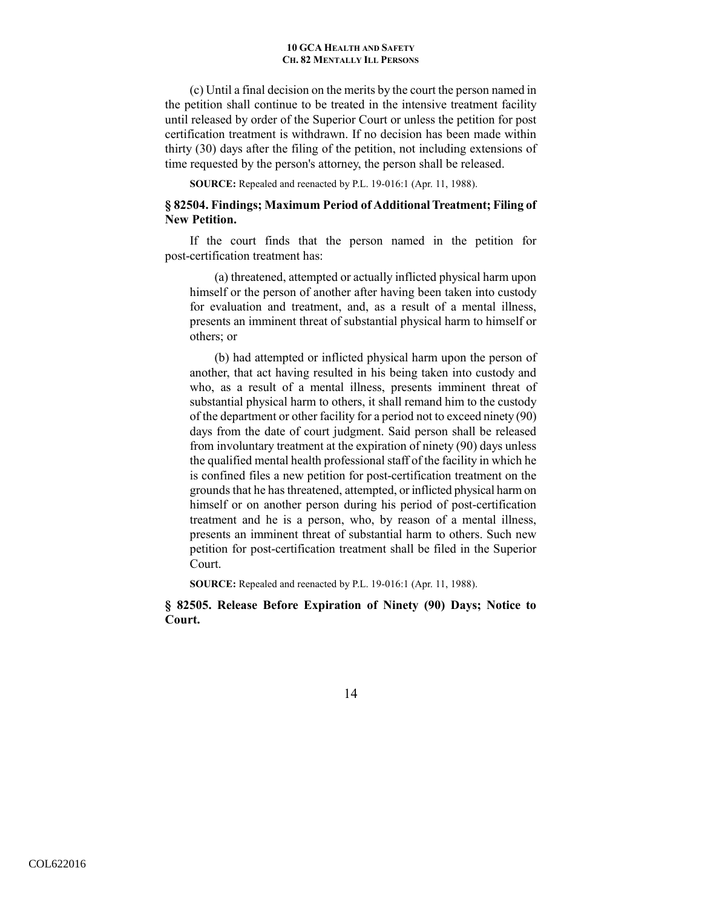(c) Until a final decision on the merits by the court the person named in the petition shall continue to be treated in the intensive treatment facility until released by order of the Superior Court or unless the petition for post certification treatment is withdrawn. If no decision has been made within thirty (30) days after the filing of the petition, not including extensions of time requested by the person's attorney, the person shall be released.

**SOURCE:** Repealed and reenacted by P.L. 19-016:1 (Apr. 11, 1988).

## **§ 82504. Findings; Maximum Period of Additional Treatment; Filing of New Petition.**

If the court finds that the person named in the petition for post-certification treatment has:

(a) threatened, attempted or actually inflicted physical harm upon himself or the person of another after having been taken into custody for evaluation and treatment, and, as a result of a mental illness, presents an imminent threat of substantial physical harm to himself or others; or

(b) had attempted or inflicted physical harm upon the person of another, that act having resulted in his being taken into custody and who, as a result of a mental illness, presents imminent threat of substantial physical harm to others, it shall remand him to the custody of the department or other facility for a period not to exceed ninety (90) days from the date of court judgment. Said person shall be released from involuntary treatment at the expiration of ninety (90) days unless the qualified mental health professional staff of the facility in which he is confined files a new petition for post-certification treatment on the grounds that he has threatened, attempted, or inflicted physical harm on himself or on another person during his period of post-certification treatment and he is a person, who, by reason of a mental illness, presents an imminent threat of substantial harm to others. Such new petition for post-certification treatment shall be filed in the Superior Court.

**SOURCE:** Repealed and reenacted by P.L. 19-016:1 (Apr. 11, 1988).

**§ 82505. Release Before Expiration of Ninety (90) Days; Notice to Court.**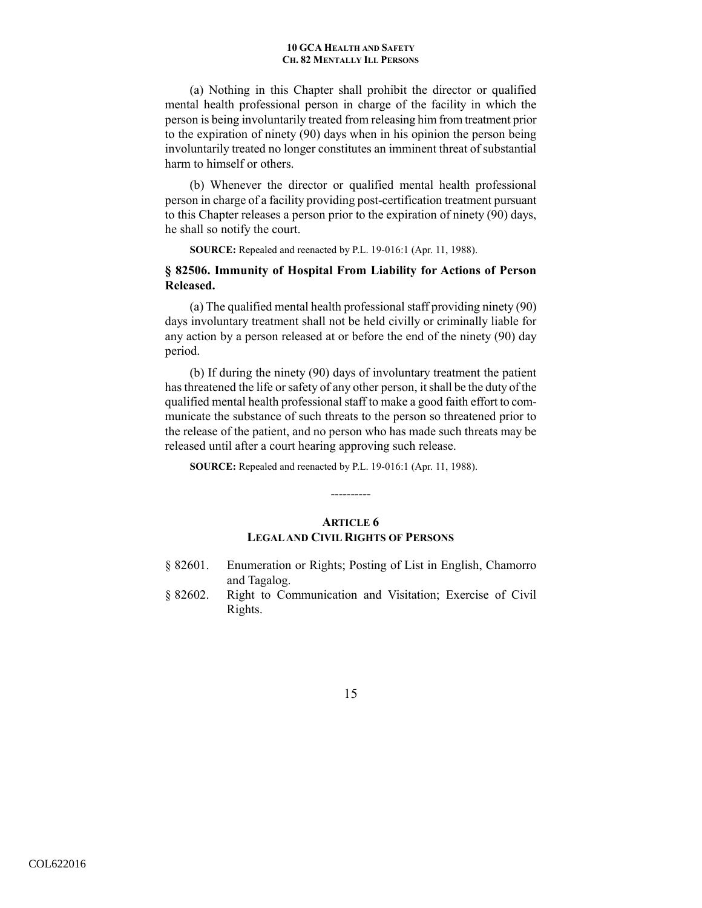(a) Nothing in this Chapter shall prohibit the director or qualified mental health professional person in charge of the facility in which the person is being involuntarily treated from releasing him from treatment prior to the expiration of ninety (90) days when in his opinion the person being involuntarily treated no longer constitutes an imminent threat of substantial harm to himself or others.

 (b) Whenever the director or qualified mental health professional person in charge of a facility providing post-certification treatment pursuant to this Chapter releases a person prior to the expiration of ninety (90) days, he shall so notify the court.

**SOURCE:** Repealed and reenacted by P.L. 19-016:1 (Apr. 11, 1988).

# **§ 82506. Immunity of Hospital From Liability for Actions of Person Released.**

(a) The qualified mental health professional staff providing ninety (90) days involuntary treatment shall not be held civilly or criminally liable for any action by a person released at or before the end of the ninety (90) day period.

 (b) If during the ninety (90) days of involuntary treatment the patient has threatened the life or safety of any other person, it shall be the duty of the qualified mental health professional staff to make a good faith effort to communicate the substance of such threats to the person so threatened prior to the release of the patient, and no person who has made such threats may be released until after a court hearing approving such release.

**SOURCE:** Repealed and reenacted by P.L. 19-016:1 (Apr. 11, 1988).

# **ARTICLE 6 LEGAL AND CIVIL RIGHTS OF PERSONS**

----------

- § 82601. Enumeration or Rights; Posting of List in English, Chamorro and Tagalog.
- § 82602. Right to Communication and Visitation; Exercise of Civil Rights.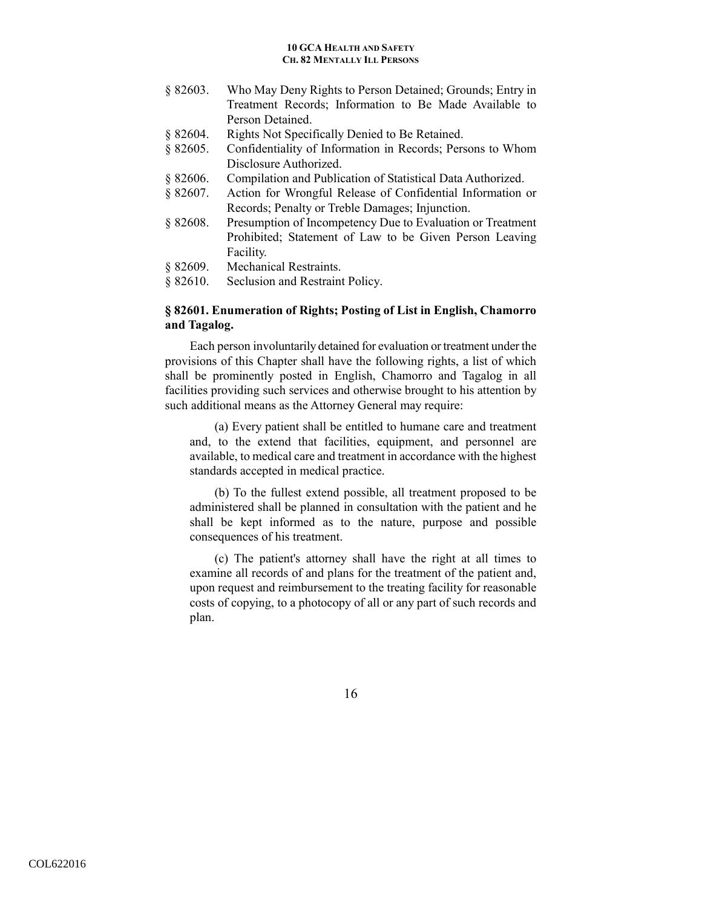- § 82603. Who May Deny Rights to Person Detained; Grounds; Entry in Treatment Records; Information to Be Made Available to Person Detained.
- § 82604. Rights Not Specifically Denied to Be Retained.
- § 82605. Confidentiality of Information in Records; Persons to Whom Disclosure Authorized.
- § 82606. Compilation and Publication of Statistical Data Authorized.
- § 82607. Action for Wrongful Release of Confidential Information or Records; Penalty or Treble Damages; Injunction.
- § 82608. Presumption of Incompetency Due to Evaluation or Treatment Prohibited; Statement of Law to be Given Person Leaving Facility.
- § 82609. Mechanical Restraints.
- § 82610. Seclusion and Restraint Policy.

# **§ 82601. Enumeration of Rights; Posting of List in English, Chamorro and Tagalog.**

Each person involuntarily detained for evaluation or treatment under the provisions of this Chapter shall have the following rights, a list of which shall be prominently posted in English, Chamorro and Tagalog in all facilities providing such services and otherwise brought to his attention by such additional means as the Attorney General may require:

(a) Every patient shall be entitled to humane care and treatment and, to the extend that facilities, equipment, and personnel are available, to medical care and treatment in accordance with the highest standards accepted in medical practice.

(b) To the fullest extend possible, all treatment proposed to be administered shall be planned in consultation with the patient and he shall be kept informed as to the nature, purpose and possible consequences of his treatment.

(c) The patient's attorney shall have the right at all times to examine all records of and plans for the treatment of the patient and, upon request and reimbursement to the treating facility for reasonable costs of copying, to a photocopy of all or any part of such records and plan.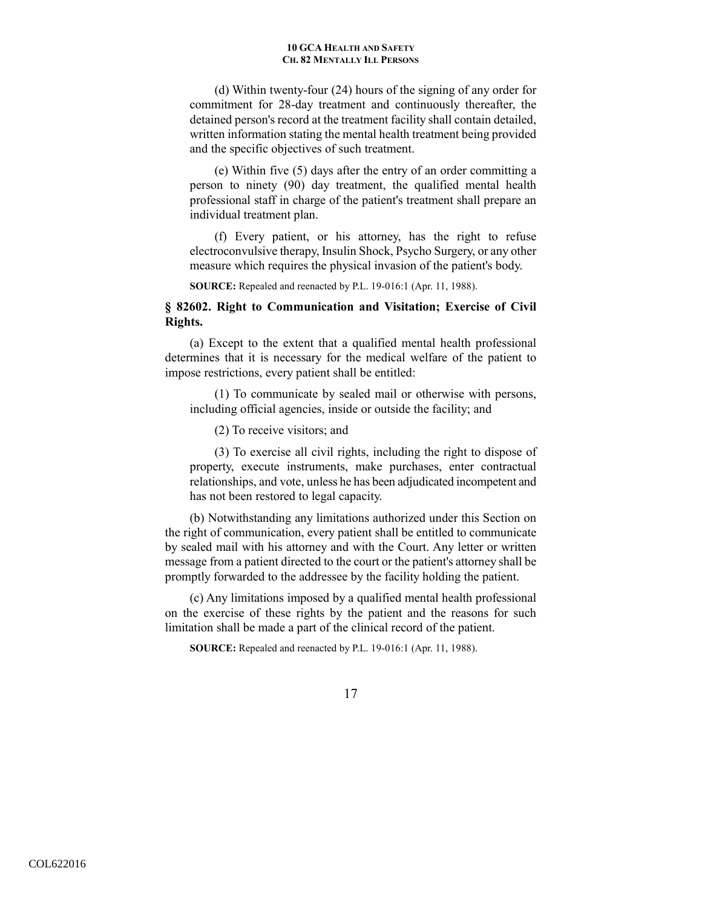(d) Within twenty-four (24) hours of the signing of any order for commitment for 28-day treatment and continuously thereafter, the detained person's record at the treatment facility shall contain detailed, written information stating the mental health treatment being provided and the specific objectives of such treatment.

(e) Within five (5) days after the entry of an order committing a person to ninety (90) day treatment, the qualified mental health professional staff in charge of the patient's treatment shall prepare an individual treatment plan.

(f) Every patient, or his attorney, has the right to refuse electroconvulsive therapy, Insulin Shock, Psycho Surgery, or any other measure which requires the physical invasion of the patient's body.

**SOURCE:** Repealed and reenacted by P.L. 19-016:1 (Apr. 11, 1988).

# **§ 82602. Right to Communication and Visitation; Exercise of Civil Rights.**

(a) Except to the extent that a qualified mental health professional determines that it is necessary for the medical welfare of the patient to impose restrictions, every patient shall be entitled:

(1) To communicate by sealed mail or otherwise with persons, including official agencies, inside or outside the facility; and

(2) To receive visitors; and

(3) To exercise all civil rights, including the right to dispose of property, execute instruments, make purchases, enter contractual relationships, and vote, unless he has been adjudicated incompetent and has not been restored to legal capacity.

 (b) Notwithstanding any limitations authorized under this Section on the right of communication, every patient shall be entitled to communicate by sealed mail with his attorney and with the Court. Any letter or written message from a patient directed to the court or the patient's attorney shall be promptly forwarded to the addressee by the facility holding the patient.

 (c) Any limitations imposed by a qualified mental health professional on the exercise of these rights by the patient and the reasons for such limitation shall be made a part of the clinical record of the patient.

**SOURCE:** Repealed and reenacted by P.L. 19-016:1 (Apr. 11, 1988).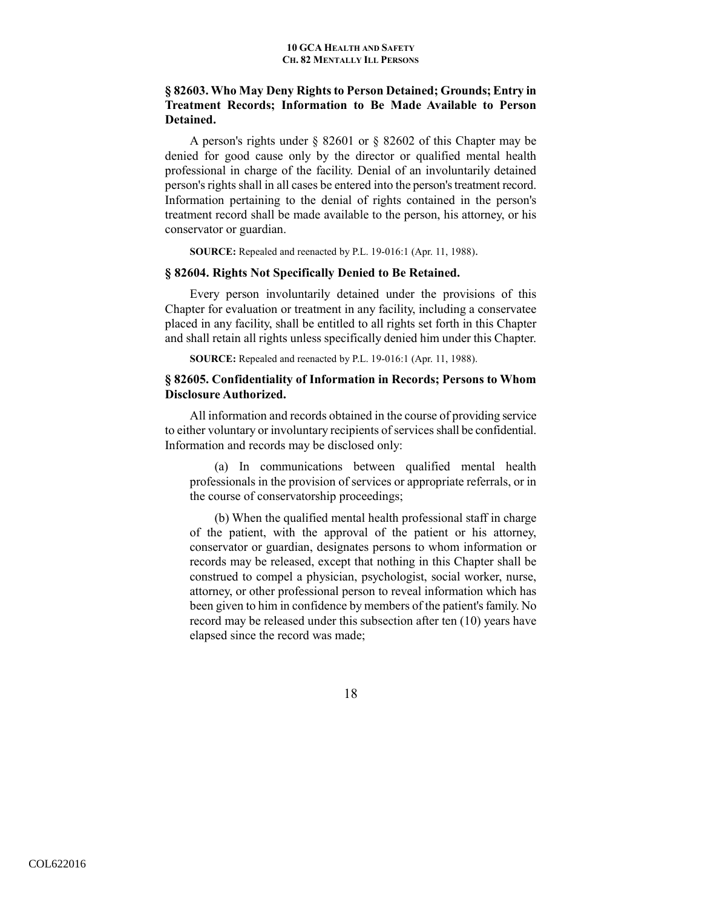# **§ 82603. Who May Deny Rights to Person Detained; Grounds; Entry in Treatment Records; Information to Be Made Available to Person Detained.**

A person's rights under § 82601 or § 82602 of this Chapter may be denied for good cause only by the director or qualified mental health professional in charge of the facility. Denial of an involuntarily detained person's rights shall in all cases be entered into the person's treatment record. Information pertaining to the denial of rights contained in the person's treatment record shall be made available to the person, his attorney, or his conservator or guardian.

**SOURCE:** Repealed and reenacted by P.L. 19-016:1 (Apr. 11, 1988).

### **§ 82604. Rights Not Specifically Denied to Be Retained.**

Every person involuntarily detained under the provisions of this Chapter for evaluation or treatment in any facility, including a conservatee placed in any facility, shall be entitled to all rights set forth in this Chapter and shall retain all rights unless specifically denied him under this Chapter.

**SOURCE:** Repealed and reenacted by P.L. 19-016:1 (Apr. 11, 1988).

# **§ 82605. Confidentiality of Information in Records; Persons to Whom Disclosure Authorized.**

All information and records obtained in the course of providing service to either voluntary or involuntary recipients of services shall be confidential. Information and records may be disclosed only:

(a) In communications between qualified mental health professionals in the provision of services or appropriate referrals, or in the course of conservatorship proceedings;

(b) When the qualified mental health professional staff in charge of the patient, with the approval of the patient or his attorney, conservator or guardian, designates persons to whom information or records may be released, except that nothing in this Chapter shall be construed to compel a physician, psychologist, social worker, nurse, attorney, or other professional person to reveal information which has been given to him in confidence by members of the patient's family. No record may be released under this subsection after ten (10) years have elapsed since the record was made;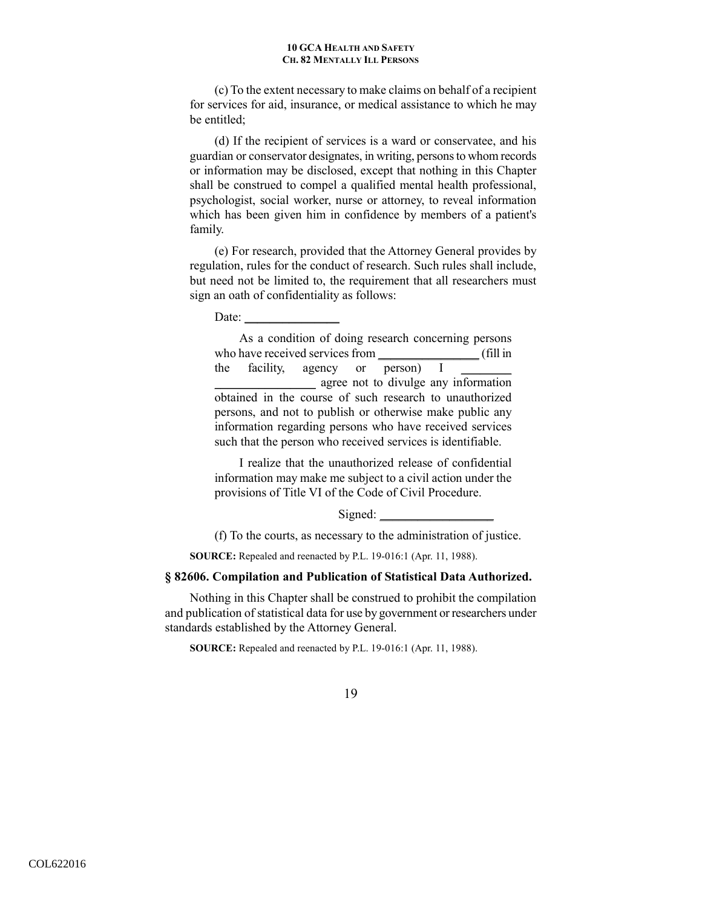(c) To the extent necessary to make claims on behalf of a recipient for services for aid, insurance, or medical assistance to which he may be entitled;

(d) If the recipient of services is a ward or conservatee, and his guardian or conservator designates, in writing, persons to whom records or information may be disclosed, except that nothing in this Chapter shall be construed to compel a qualified mental health professional, psychologist, social worker, nurse or attorney, to reveal information which has been given him in confidence by members of a patient's family.

(e) For research, provided that the Attorney General provides by regulation, rules for the conduct of research. Such rules shall include, but need not be limited to, the requirement that all researchers must sign an oath of confidentiality as follows:

Date:

As a condition of doing research concerning persons who have received services from  $\qquad \qquad$  (fill in the facility, agency or person) I \_\_\_\_\_\_\_\_\_\_\_\_\_\_\_\_ agree not to divulge any information obtained in the course of such research to unauthorized persons, and not to publish or otherwise make public any information regarding persons who have received services such that the person who received services is identifiable.

I realize that the unauthorized release of confidential information may make me subject to a civil action under the provisions of Title VI of the Code of Civil Procedure.

Signed:

(f) To the courts, as necessary to the administration of justice.

**SOURCE:** Repealed and reenacted by P.L. 19-016:1 (Apr. 11, 1988).

#### **§ 82606. Compilation and Publication of Statistical Data Authorized.**

Nothing in this Chapter shall be construed to prohibit the compilation and publication of statistical data for use by government or researchers under standards established by the Attorney General.

**SOURCE:** Repealed and reenacted by P.L. 19-016:1 (Apr. 11, 1988).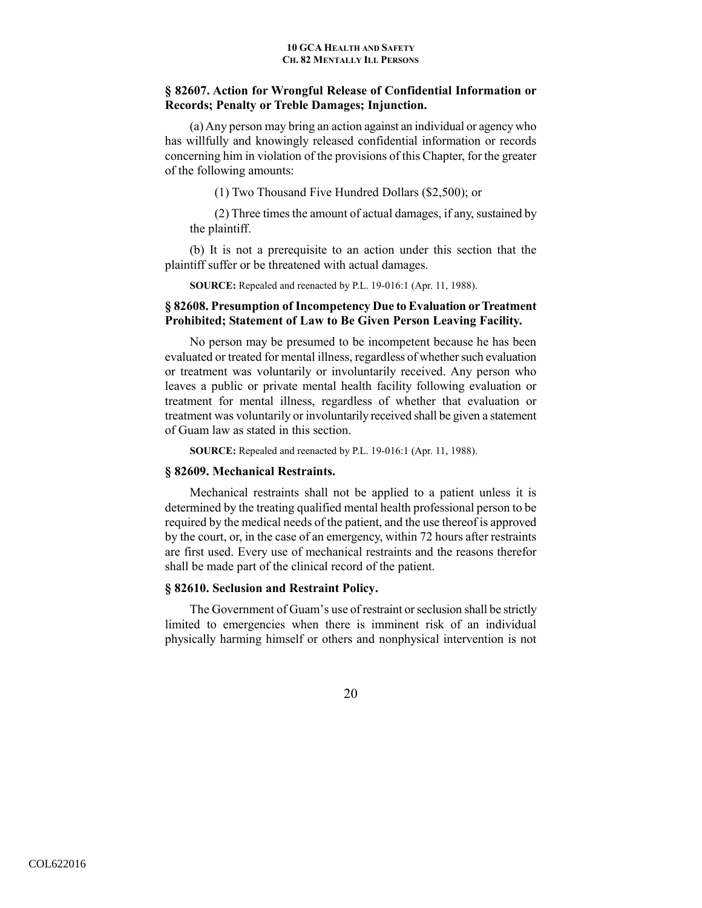# **§ 82607. Action for Wrongful Release of Confidential Information or Records; Penalty or Treble Damages; Injunction.**

(a) Any person may bring an action against an individual or agency who has willfully and knowingly released confidential information or records concerning him in violation of the provisions of this Chapter, for the greater of the following amounts:

(1) Two Thousand Five Hundred Dollars (\$2,500); or

(2) Three times the amount of actual damages, if any, sustained by the plaintiff.

(b) It is not a prerequisite to an action under this section that the plaintiff suffer or be threatened with actual damages.

**SOURCE:** Repealed and reenacted by P.L. 19-016:1 (Apr. 11, 1988).

# **§ 82608. Presumption of Incompetency Due to Evaluation or Treatment Prohibited; Statement of Law to Be Given Person Leaving Facility.**

No person may be presumed to be incompetent because he has been evaluated or treated for mental illness, regardless of whether such evaluation or treatment was voluntarily or involuntarily received. Any person who leaves a public or private mental health facility following evaluation or treatment for mental illness, regardless of whether that evaluation or treatment was voluntarily or involuntarily received shall be given a statement of Guam law as stated in this section.

**SOURCE:** Repealed and reenacted by P.L. 19-016:1 (Apr. 11, 1988).

## **§ 82609. Mechanical Restraints.**

Mechanical restraints shall not be applied to a patient unless it is determined by the treating qualified mental health professional person to be required by the medical needs of the patient, and the use thereof is approved by the court, or, in the case of an emergency, within 72 hours after restraints are first used. Every use of mechanical restraints and the reasons therefor shall be made part of the clinical record of the patient.

# **§ 82610. Seclusion and Restraint Policy.**

The Government of Guam's use of restraint or seclusion shall be strictly limited to emergencies when there is imminent risk of an individual physically harming himself or others and nonphysical intervention is not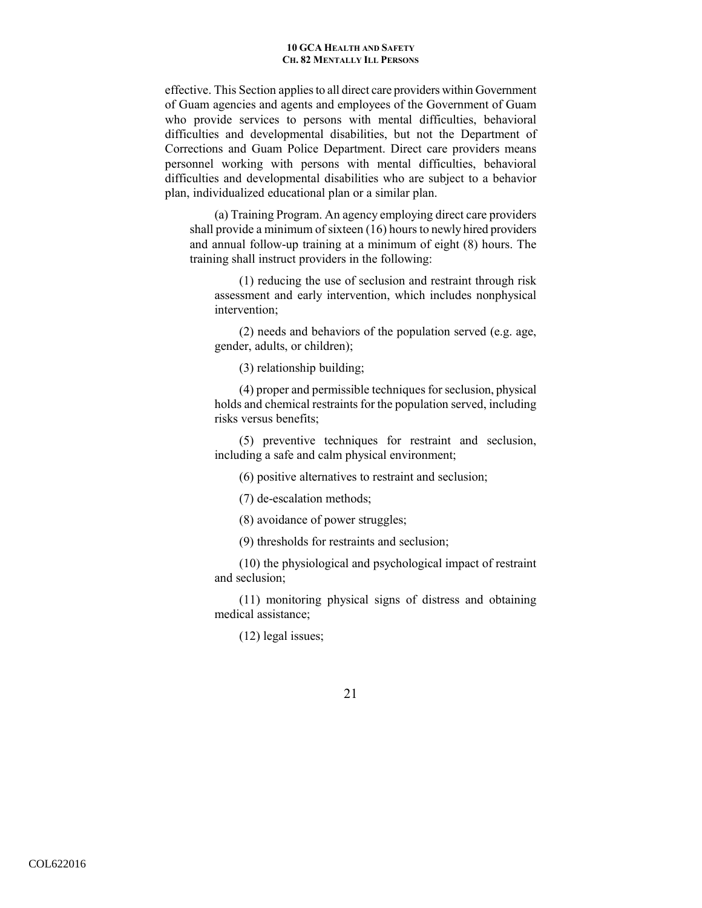effective. This Section applies to all direct care providers within Government of Guam agencies and agents and employees of the Government of Guam who provide services to persons with mental difficulties, behavioral difficulties and developmental disabilities, but not the Department of Corrections and Guam Police Department. Direct care providers means personnel working with persons with mental difficulties, behavioral difficulties and developmental disabilities who are subject to a behavior plan, individualized educational plan or a similar plan.

(a) Training Program. An agency employing direct care providers shall provide a minimum of sixteen (16) hours to newly hired providers and annual follow-up training at a minimum of eight (8) hours. The training shall instruct providers in the following:

(1) reducing the use of seclusion and restraint through risk assessment and early intervention, which includes nonphysical intervention;

(2) needs and behaviors of the population served (e.g. age, gender, adults, or children);

(3) relationship building;

(4) proper and permissible techniques for seclusion, physical holds and chemical restraints for the population served, including risks versus benefits;

(5) preventive techniques for restraint and seclusion, including a safe and calm physical environment;

(6) positive alternatives to restraint and seclusion;

(7) de-escalation methods;

(8) avoidance of power struggles;

(9) thresholds for restraints and seclusion;

(10) the physiological and psychological impact of restraint and seclusion;

(11) monitoring physical signs of distress and obtaining medical assistance;

(12) legal issues;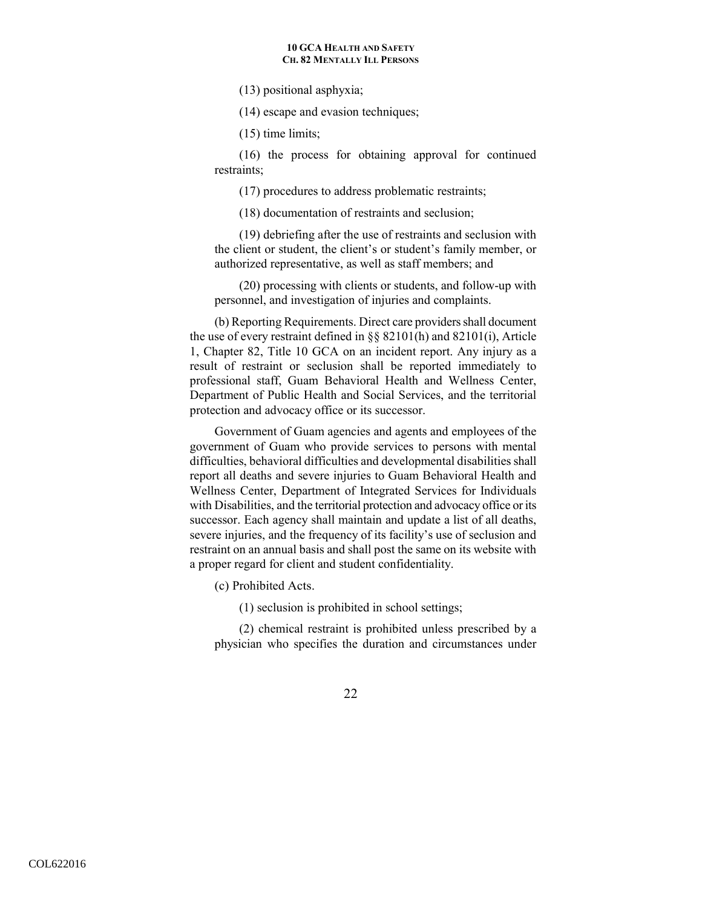(13) positional asphyxia;

(14) escape and evasion techniques;

(15) time limits;

(16) the process for obtaining approval for continued restraints;

(17) procedures to address problematic restraints;

(18) documentation of restraints and seclusion;

(19) debriefing after the use of restraints and seclusion with the client or student, the client's or student's family member, or authorized representative, as well as staff members; and

(20) processing with clients or students, and follow-up with personnel, and investigation of injuries and complaints.

(b) Reporting Requirements. Direct care providers shall document the use of every restraint defined in §§ 82101(h) and 82101(i), Article 1, Chapter 82, Title 10 GCA on an incident report. Any injury as a result of restraint or seclusion shall be reported immediately to professional staff, Guam Behavioral Health and Wellness Center, Department of Public Health and Social Services, and the territorial protection and advocacy office or its successor.

Government of Guam agencies and agents and employees of the government of Guam who provide services to persons with mental difficulties, behavioral difficulties and developmental disabilities shall report all deaths and severe injuries to Guam Behavioral Health and Wellness Center, Department of Integrated Services for Individuals with Disabilities, and the territorial protection and advocacy office or its successor. Each agency shall maintain and update a list of all deaths, severe injuries, and the frequency of its facility's use of seclusion and restraint on an annual basis and shall post the same on its website with a proper regard for client and student confidentiality.

(c) Prohibited Acts.

(1) seclusion is prohibited in school settings;

(2) chemical restraint is prohibited unless prescribed by a physician who specifies the duration and circumstances under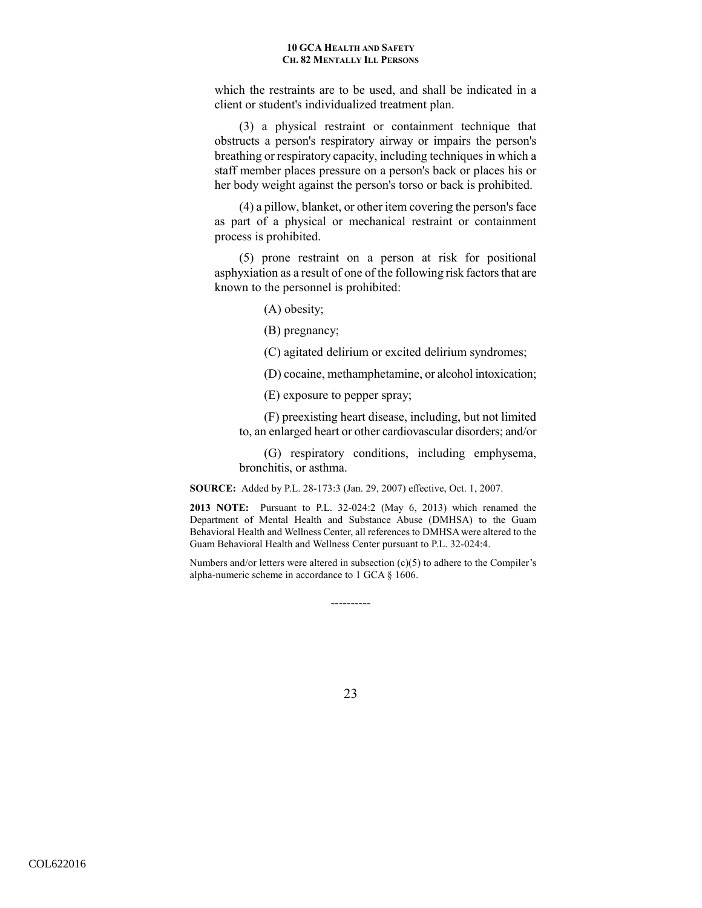which the restraints are to be used, and shall be indicated in a client or student's individualized treatment plan.

(3) a physical restraint or containment technique that obstructs a person's respiratory airway or impairs the person's breathing or respiratory capacity, including techniques in which a staff member places pressure on a person's back or places his or her body weight against the person's torso or back is prohibited.

(4) a pillow, blanket, or other item covering the person's face as part of a physical or mechanical restraint or containment process is prohibited.

(5) prone restraint on a person at risk for positional asphyxiation as a result of one of the following risk factors that are known to the personnel is prohibited:

- (A) obesity;
- (B) pregnancy;
- (C) agitated delirium or excited delirium syndromes;
- (D) cocaine, methamphetamine, or alcohol intoxication;

(E) exposure to pepper spray;

(F) preexisting heart disease, including, but not limited to, an enlarged heart or other cardiovascular disorders; and/or

(G) respiratory conditions, including emphysema, bronchitis, or asthma.

**SOURCE:** Added by P.L. 28-173:3 (Jan. 29, 2007) effective, Oct. 1, 2007.

**2013 NOTE:** Pursuant to P.L. 32-024:2 (May 6, 2013) which renamed the Department of Mental Health and Substance Abuse (DMHSA) to the Guam Behavioral Health and Wellness Center, all references to DMHSA were altered to the Guam Behavioral Health and Wellness Center pursuant to P.L. 32-024:4.

Numbers and/or letters were altered in subsection  $(c)(5)$  to adhere to the Compiler's alpha-numeric scheme in accordance to 1 GCA § 1606.

----------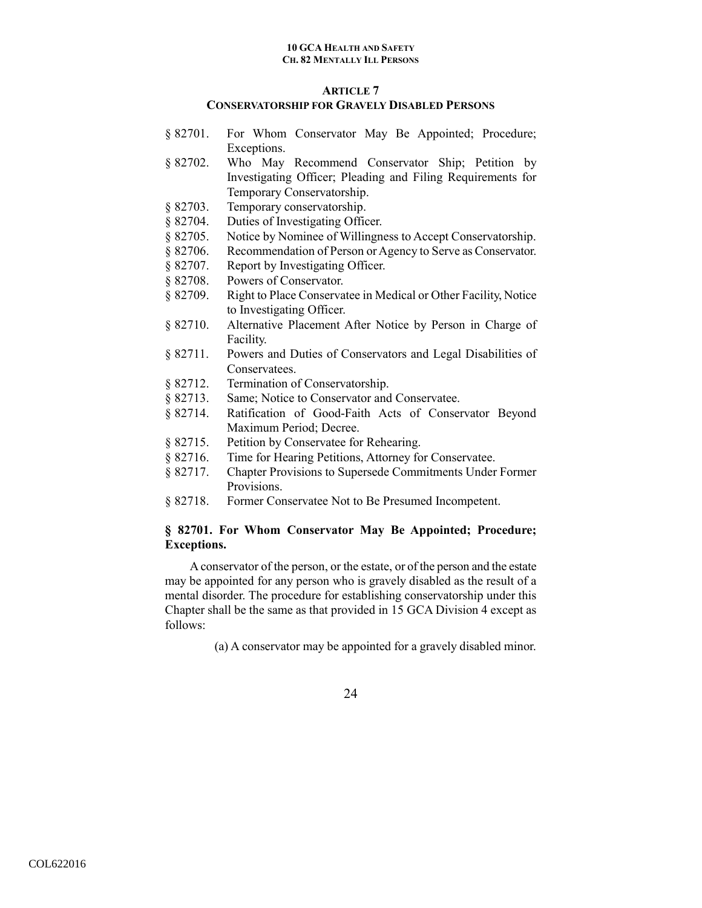# **ARTICLE 7**

# **CONSERVATORSHIP FOR GRAVELY DISABLED PERSONS**

- § 82701. For Whom Conservator May Be Appointed; Procedure; Exceptions.
- § 82702. Who May Recommend Conservator Ship; Petition by Investigating Officer; Pleading and Filing Requirements for Temporary Conservatorship.
- § 82703. Temporary conservatorship.
- § 82704. Duties of Investigating Officer.
- § 82705. Notice by Nominee of Willingness to Accept Conservatorship.
- § 82706. Recommendation of Person or Agency to Serve as Conservator.
- § 82707. Report by Investigating Officer.
- § 82708. Powers of Conservator.
- § 82709. Right to Place Conservatee in Medical or Other Facility, Notice to Investigating Officer.
- § 82710. Alternative Placement After Notice by Person in Charge of Facility.
- § 82711. Powers and Duties of Conservators and Legal Disabilities of Conservatees.
- § 82712. Termination of Conservatorship.
- § 82713. Same; Notice to Conservator and Conservatee.
- § 82714. Ratification of Good-Faith Acts of Conservator Beyond Maximum Period; Decree.
- § 82715. Petition by Conservatee for Rehearing.
- § 82716. Time for Hearing Petitions, Attorney for Conservatee.
- § 82717. Chapter Provisions to Supersede Commitments Under Former Provisions.
- § 82718. Former Conservatee Not to Be Presumed Incompetent.

# **§ 82701. For Whom Conservator May Be Appointed; Procedure; Exceptions.**

A conservator of the person, or the estate, or of the person and the estate may be appointed for any person who is gravely disabled as the result of a mental disorder. The procedure for establishing conservatorship under this Chapter shall be the same as that provided in 15 GCA Division 4 except as follows:

(a) A conservator may be appointed for a gravely disabled minor.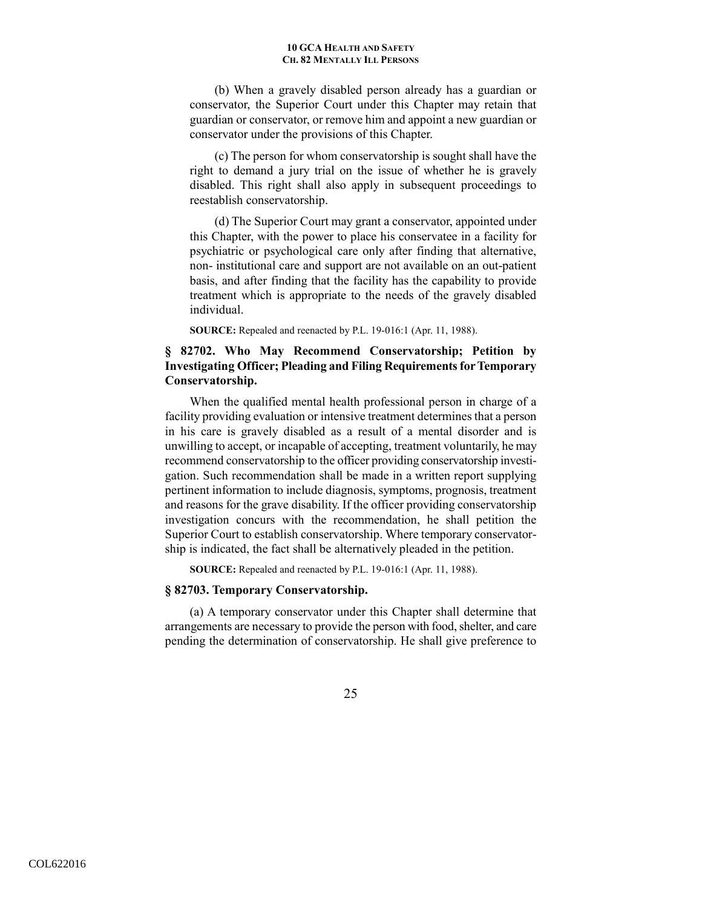(b) When a gravely disabled person already has a guardian or conservator, the Superior Court under this Chapter may retain that guardian or conservator, or remove him and appoint a new guardian or conservator under the provisions of this Chapter.

(c) The person for whom conservatorship is sought shall have the right to demand a jury trial on the issue of whether he is gravely disabled. This right shall also apply in subsequent proceedings to reestablish conservatorship.

(d) The Superior Court may grant a conservator, appointed under this Chapter, with the power to place his conservatee in a facility for psychiatric or psychological care only after finding that alternative, non- institutional care and support are not available on an out-patient basis, and after finding that the facility has the capability to provide treatment which is appropriate to the needs of the gravely disabled individual.

**SOURCE:** Repealed and reenacted by P.L. 19-016:1 (Apr. 11, 1988).

# **§ 82702. Who May Recommend Conservatorship; Petition by Investigating Officer; Pleading and Filing Requirements for Temporary Conservatorship.**

When the qualified mental health professional person in charge of a facility providing evaluation or intensive treatment determines that a person in his care is gravely disabled as a result of a mental disorder and is unwilling to accept, or incapable of accepting, treatment voluntarily, he may recommend conservatorship to the officer providing conservatorship investigation. Such recommendation shall be made in a written report supplying pertinent information to include diagnosis, symptoms, prognosis, treatment and reasons for the grave disability. If the officer providing conservatorship investigation concurs with the recommendation, he shall petition the Superior Court to establish conservatorship. Where temporary conservatorship is indicated, the fact shall be alternatively pleaded in the petition.

**SOURCE:** Repealed and reenacted by P.L. 19-016:1 (Apr. 11, 1988).

#### **§ 82703. Temporary Conservatorship.**

(a) A temporary conservator under this Chapter shall determine that arrangements are necessary to provide the person with food, shelter, and care pending the determination of conservatorship. He shall give preference to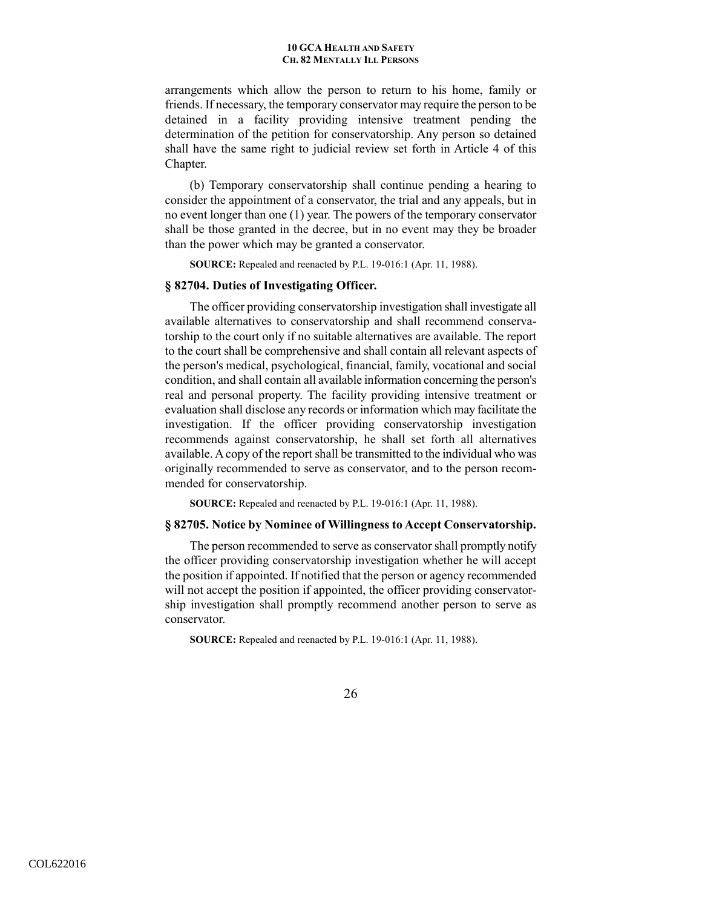arrangements which allow the person to return to his home, family or friends. If necessary, the temporary conservator may require the person to be detained in a facility providing intensive treatment pending the determination of the petition for conservatorship. Any person so detained shall have the same right to judicial review set forth in Article 4 of this Chapter.

 (b) Temporary conservatorship shall continue pending a hearing to consider the appointment of a conservator, the trial and any appeals, but in no event longer than one (1) year. The powers of the temporary conservator shall be those granted in the decree, but in no event may they be broader than the power which may be granted a conservator.

**SOURCE:** Repealed and reenacted by P.L. 19-016:1 (Apr. 11, 1988).

### **§ 82704. Duties of Investigating Officer.**

The officer providing conservatorship investigation shall investigate all available alternatives to conservatorship and shall recommend conservatorship to the court only if no suitable alternatives are available. The report to the court shall be comprehensive and shall contain all relevant aspects of the person's medical, psychological, financial, family, vocational and social condition, and shall contain all available information concerning the person's real and personal property. The facility providing intensive treatment or evaluation shall disclose any records or information which may facilitate the investigation. If the officer providing conservatorship investigation recommends against conservatorship, he shall set forth all alternatives available. A copy of the report shall be transmitted to the individual who was originally recommended to serve as conservator, and to the person recommended for conservatorship.

**SOURCE:** Repealed and reenacted by P.L. 19-016:1 (Apr. 11, 1988).

### **§ 82705. Notice by Nominee of Willingness to Accept Conservatorship.**

The person recommended to serve as conservator shall promptly notify the officer providing conservatorship investigation whether he will accept the position if appointed. If notified that the person or agency recommended will not accept the position if appointed, the officer providing conservatorship investigation shall promptly recommend another person to serve as conservator.

**SOURCE:** Repealed and reenacted by P.L. 19-016:1 (Apr. 11, 1988).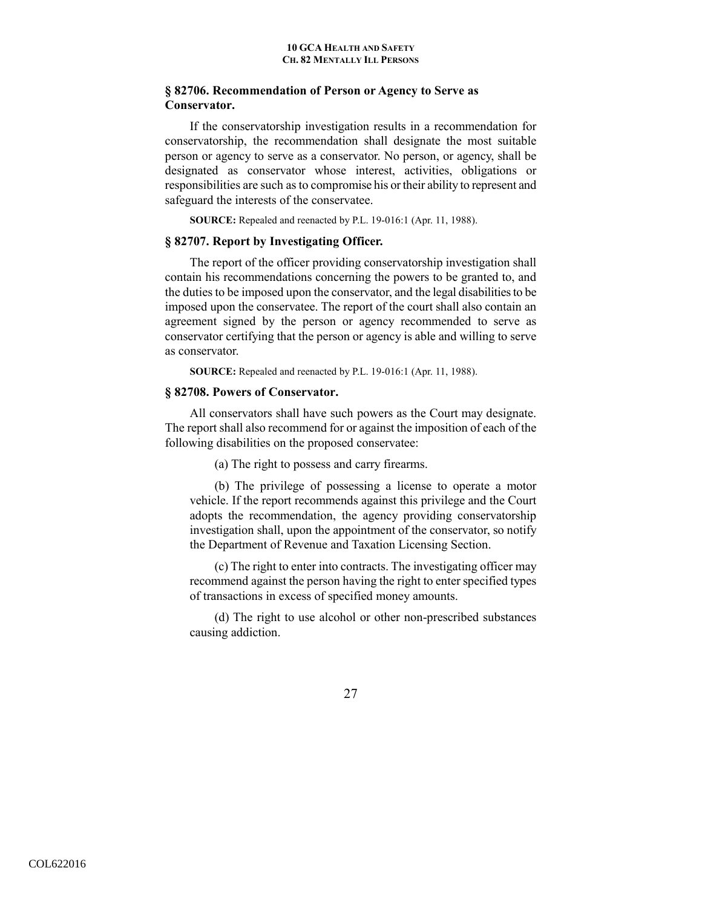# **§ 82706. Recommendation of Person or Agency to Serve as Conservator.**

If the conservatorship investigation results in a recommendation for conservatorship, the recommendation shall designate the most suitable person or agency to serve as a conservator. No person, or agency, shall be designated as conservator whose interest, activities, obligations or responsibilities are such as to compromise his or their ability to represent and safeguard the interests of the conservatee.

**SOURCE:** Repealed and reenacted by P.L. 19-016:1 (Apr. 11, 1988).

### **§ 82707. Report by Investigating Officer.**

The report of the officer providing conservatorship investigation shall contain his recommendations concerning the powers to be granted to, and the duties to be imposed upon the conservator, and the legal disabilities to be imposed upon the conservatee. The report of the court shall also contain an agreement signed by the person or agency recommended to serve as conservator certifying that the person or agency is able and willing to serve as conservator.

**SOURCE:** Repealed and reenacted by P.L. 19-016:1 (Apr. 11, 1988).

#### **§ 82708. Powers of Conservator.**

All conservators shall have such powers as the Court may designate. The report shall also recommend for or against the imposition of each of the following disabilities on the proposed conservatee:

(a) The right to possess and carry firearms.

(b) The privilege of possessing a license to operate a motor vehicle. If the report recommends against this privilege and the Court adopts the recommendation, the agency providing conservatorship investigation shall, upon the appointment of the conservator, so notify the Department of Revenue and Taxation Licensing Section.

(c) The right to enter into contracts. The investigating officer may recommend against the person having the right to enter specified types of transactions in excess of specified money amounts.

(d) The right to use alcohol or other non-prescribed substances causing addiction.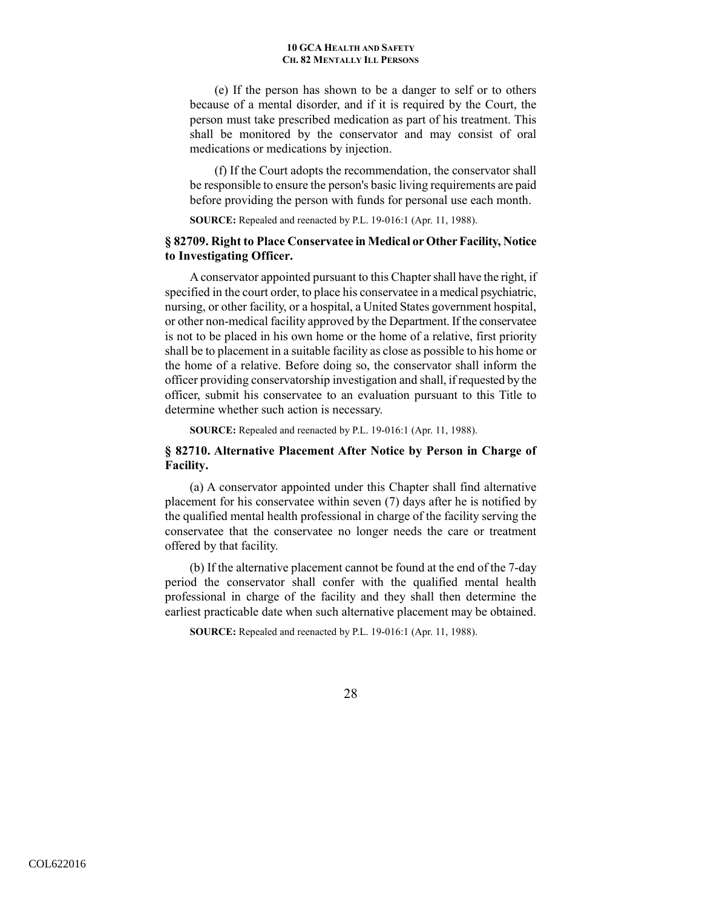(e) If the person has shown to be a danger to self or to others because of a mental disorder, and if it is required by the Court, the person must take prescribed medication as part of his treatment. This shall be monitored by the conservator and may consist of oral medications or medications by injection.

(f) If the Court adopts the recommendation, the conservator shall be responsible to ensure the person's basic living requirements are paid before providing the person with funds for personal use each month.

**SOURCE:** Repealed and reenacted by P.L. 19-016:1 (Apr. 11, 1988).

## **§ 82709. Right to Place Conservatee in Medical or Other Facility, Notice to Investigating Officer.**

A conservator appointed pursuant to this Chapter shall have the right, if specified in the court order, to place his conservatee in a medical psychiatric, nursing, or other facility, or a hospital, a United States government hospital, or other non-medical facility approved by the Department. If the conservatee is not to be placed in his own home or the home of a relative, first priority shall be to placement in a suitable facility as close as possible to his home or the home of a relative. Before doing so, the conservator shall inform the officer providing conservatorship investigation and shall, if requested by the officer, submit his conservatee to an evaluation pursuant to this Title to determine whether such action is necessary.

**SOURCE:** Repealed and reenacted by P.L. 19-016:1 (Apr. 11, 1988).

# **§ 82710. Alternative Placement After Notice by Person in Charge of Facility.**

(a) A conservator appointed under this Chapter shall find alternative placement for his conservatee within seven (7) days after he is notified by the qualified mental health professional in charge of the facility serving the conservatee that the conservatee no longer needs the care or treatment offered by that facility.

 (b) If the alternative placement cannot be found at the end of the 7-day period the conservator shall confer with the qualified mental health professional in charge of the facility and they shall then determine the earliest practicable date when such alternative placement may be obtained.

**SOURCE:** Repealed and reenacted by P.L. 19-016:1 (Apr. 11, 1988).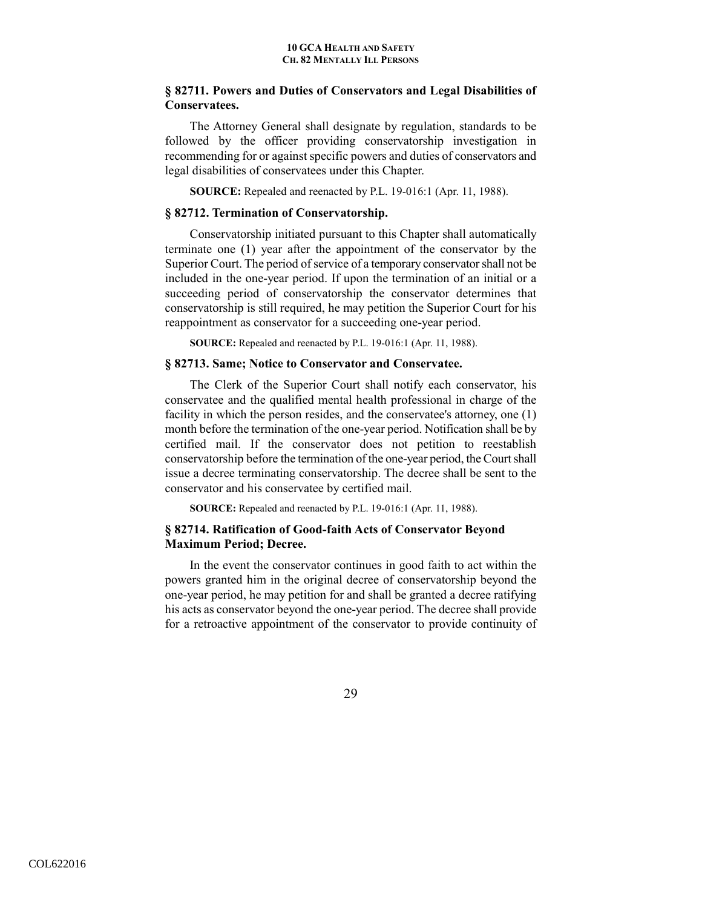# **§ 82711. Powers and Duties of Conservators and Legal Disabilities of Conservatees.**

The Attorney General shall designate by regulation, standards to be followed by the officer providing conservatorship investigation in recommending for or against specific powers and duties of conservators and legal disabilities of conservatees under this Chapter.

**SOURCE:** Repealed and reenacted by P.L. 19-016:1 (Apr. 11, 1988).

### **§ 82712. Termination of Conservatorship.**

Conservatorship initiated pursuant to this Chapter shall automatically terminate one (1) year after the appointment of the conservator by the Superior Court. The period of service of a temporary conservator shall not be included in the one-year period. If upon the termination of an initial or a succeeding period of conservatorship the conservator determines that conservatorship is still required, he may petition the Superior Court for his reappointment as conservator for a succeeding one-year period.

**SOURCE:** Repealed and reenacted by P.L. 19-016:1 (Apr. 11, 1988).

### **§ 82713. Same; Notice to Conservator and Conservatee.**

The Clerk of the Superior Court shall notify each conservator, his conservatee and the qualified mental health professional in charge of the facility in which the person resides, and the conservatee's attorney, one (1) month before the termination of the one-year period. Notification shall be by certified mail. If the conservator does not petition to reestablish conservatorship before the termination of the one-year period, the Court shall issue a decree terminating conservatorship. The decree shall be sent to the conservator and his conservatee by certified mail.

**SOURCE:** Repealed and reenacted by P.L. 19-016:1 (Apr. 11, 1988).

## **§ 82714. Ratification of Good-faith Acts of Conservator Beyond Maximum Period; Decree.**

In the event the conservator continues in good faith to act within the powers granted him in the original decree of conservatorship beyond the one-year period, he may petition for and shall be granted a decree ratifying his acts as conservator beyond the one-year period. The decree shall provide for a retroactive appointment of the conservator to provide continuity of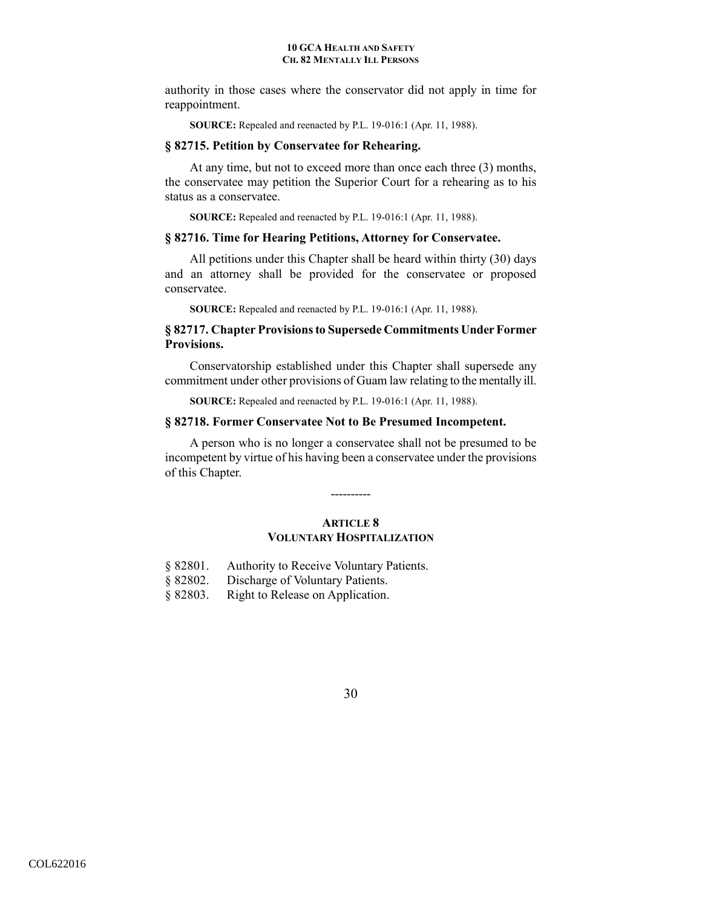authority in those cases where the conservator did not apply in time for reappointment.

**SOURCE:** Repealed and reenacted by P.L. 19-016:1 (Apr. 11, 1988).

## **§ 82715. Petition by Conservatee for Rehearing.**

At any time, but not to exceed more than once each three (3) months, the conservatee may petition the Superior Court for a rehearing as to his status as a conservatee.

**SOURCE:** Repealed and reenacted by P.L. 19-016:1 (Apr. 11, 1988).

#### **§ 82716. Time for Hearing Petitions, Attorney for Conservatee.**

All petitions under this Chapter shall be heard within thirty (30) days and an attorney shall be provided for the conservatee or proposed conservatee.

**SOURCE:** Repealed and reenacted by P.L. 19-016:1 (Apr. 11, 1988).

## **§ 82717. Chapter Provisions to Supersede Commitments Under Former Provisions.**

Conservatorship established under this Chapter shall supersede any commitment under other provisions of Guam law relating to the mentally ill.

**SOURCE:** Repealed and reenacted by P.L. 19-016:1 (Apr. 11, 1988).

## **§ 82718. Former Conservatee Not to Be Presumed Incompetent.**

A person who is no longer a conservatee shall not be presumed to be incompetent by virtue of his having been a conservatee under the provisions of this Chapter.

----------

# **ARTICLE 8 VOLUNTARY HOSPITALIZATION**

- § 82801. Authority to Receive Voluntary Patients.
- § 82802. Discharge of Voluntary Patients.
- § 82803. Right to Release on Application.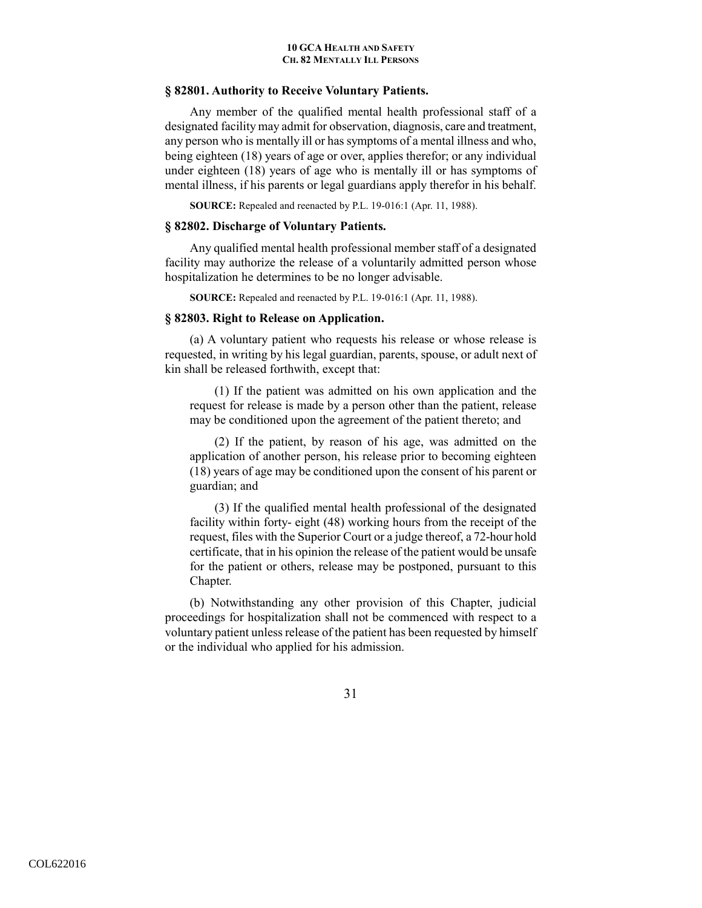### **§ 82801. Authority to Receive Voluntary Patients.**

Any member of the qualified mental health professional staff of a designated facility may admit for observation, diagnosis, care and treatment, any person who is mentally ill or has symptoms of a mental illness and who, being eighteen (18) years of age or over, applies therefor; or any individual under eighteen (18) years of age who is mentally ill or has symptoms of mental illness, if his parents or legal guardians apply therefor in his behalf.

**SOURCE:** Repealed and reenacted by P.L. 19-016:1 (Apr. 11, 1988).

# **§ 82802. Discharge of Voluntary Patients.**

Any qualified mental health professional member staff of a designated facility may authorize the release of a voluntarily admitted person whose hospitalization he determines to be no longer advisable.

**SOURCE:** Repealed and reenacted by P.L. 19-016:1 (Apr. 11, 1988).

## **§ 82803. Right to Release on Application.**

(a) A voluntary patient who requests his release or whose release is requested, in writing by his legal guardian, parents, spouse, or adult next of kin shall be released forthwith, except that:

(1) If the patient was admitted on his own application and the request for release is made by a person other than the patient, release may be conditioned upon the agreement of the patient thereto; and

(2) If the patient, by reason of his age, was admitted on the application of another person, his release prior to becoming eighteen (18) years of age may be conditioned upon the consent of his parent or guardian; and

(3) If the qualified mental health professional of the designated facility within forty- eight (48) working hours from the receipt of the request, files with the Superior Court or a judge thereof, a 72-hour hold certificate, that in his opinion the release of the patient would be unsafe for the patient or others, release may be postponed, pursuant to this Chapter.

 (b) Notwithstanding any other provision of this Chapter, judicial proceedings for hospitalization shall not be commenced with respect to a voluntary patient unless release of the patient has been requested by himself or the individual who applied for his admission.